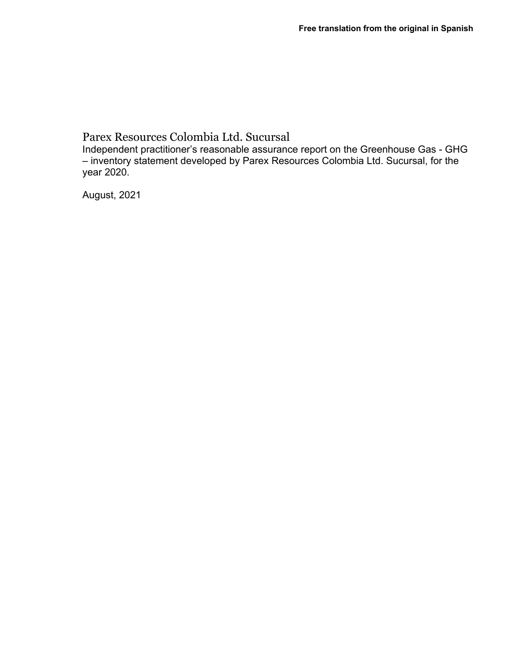# Parex Resources Colombia Ltd. Sucursal

Independent practitioner's reasonable assurance report on the Greenhouse Gas - GHG – inventory statement developed by Parex Resources Colombia Ltd. Sucursal, for the year 2020.

August, 2021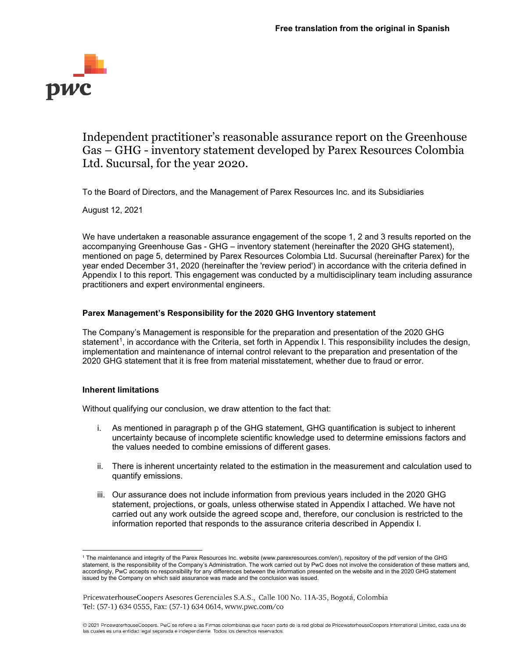

# Independent practitioner's reasonable assurance report on the Greenhouse Gas – GHG - inventory statement developed by Parex Resources Colombia Ltd. Sucursal, for the year 2020.

To the Board of Directors, and the Management of Parex Resources Inc. and its Subsidiaries

August 12, 2021

We have undertaken a reasonable assurance engagement of the scope 1, 2 and 3 results reported on the accompanying Greenhouse Gas - GHG – inventory statement (hereinafter the 2020 GHG statement), mentioned on page 5, determined by Parex Resources Colombia Ltd. Sucursal (hereinafter Parex) for the year ended December 31, 2020 (hereinafter the 'review period') in accordance with the criteria defined in Appendix I to this report. This engagement was conducted by a multidisciplinary team including assurance practitioners and expert environmental engineers.

## **Parex Management's Responsibility for the 2020 GHG Inventory statement**

The Company's Management is responsible for the preparation and presentation of the 2020 GHG statement<sup>[1](#page-1-0)</sup>, in accordance with the Criteria, set forth in Appendix I. This responsibility includes the design, implementation and maintenance of internal control relevant to the preparation and presentation of the 2020 GHG statement that it is free from material misstatement, whether due to fraud or error.

## **Inherent limitations**

Without qualifying our conclusion, we draw attention to the fact that:

- i. As mentioned in paragraph p of the GHG statement, GHG quantification is subject to inherent uncertainty because of incomplete scientific knowledge used to determine emissions factors and the values needed to combine emissions of different gases.
- ii. There is inherent uncertainty related to the estimation in the measurement and calculation used to quantify emissions.
- iii. Our assurance does not include information from previous years included in the 2020 GHG statement, projections, or goals, unless otherwise stated in Appendix I attached. We have not carried out any work outside the agreed scope and, therefore, our conclusion is restricted to the information reported that responds to the assurance criteria described in Appendix I.

<span id="page-1-0"></span><sup>1</sup> The maintenance and integrity of the Parex Resources Inc. website (www.parexresources.com/en/), repository of the pdf version of the GHG statement, is the responsibility of the Company's Administration. The work carried out by PwC does not involve the consideration of these matters and, accordingly, PwC accepts no responsibility for any differences between the information presented on the website and in the 2020 GHG statement issued by the Company on which said assurance was made and the conclusion was issued.

PricewaterhouseCoopers Asesores Gerenciales S.A.S., Calle 100 No. 11A-35, Bogotá, Colombia Tel: (57-1) 634 0555, Fax: (57-1) 634 0614, www.pwc.com/co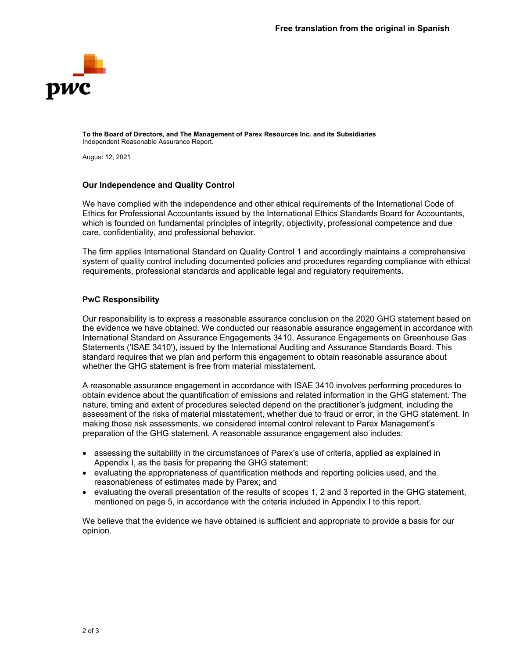

**To the Board of Directors, and The Management of Parex Resources Inc. and its Subsidiaries** Independent Reasonable Assurance Report.

August 12, 2021

#### **Our Independence and Quality Control**

We have complied with the independence and other ethical requirements of the International Code of Ethics for Professional Accountants issued by the International Ethics Standards Board for Accountants, which is founded on fundamental principles of integrity, objectivity, professional competence and due care, confidentiality, and professional behavior.

The firm applies International Standard on Quality Control 1 and accordingly maintains a comprehensive system of quality control including documented policies and procedures regarding compliance with ethical requirements, professional standards and applicable legal and regulatory requirements.

## **PwC Responsibility**

Our responsibility is to express a reasonable assurance conclusion on the 2020 GHG statement based on the evidence we have obtained. We conducted our reasonable assurance engagement in accordance with International Standard on Assurance Engagements 3410, Assurance Engagements on Greenhouse Gas Statements ('ISAE 3410'), issued by the International Auditing and Assurance Standards Board. This standard requires that we plan and perform this engagement to obtain reasonable assurance about whether the GHG statement is free from material misstatement.

A reasonable assurance engagement in accordance with ISAE 3410 involves performing procedures to obtain evidence about the quantification of emissions and related information in the GHG statement. The nature, timing and extent of procedures selected depend on the practitioner's judgment, including the assessment of the risks of material misstatement, whether due to fraud or error, in the GHG statement. In making those risk assessments, we considered internal control relevant to Parex Management's preparation of the GHG statement. A reasonable assurance engagement also includes:

- assessing the suitability in the circumstances of Parex's use of criteria, applied as explained in Appendix I, as the basis for preparing the GHG statement;
- evaluating the appropriateness of quantification methods and reporting policies used, and the reasonableness of estimates made by Parex; and
- evaluating the overall presentation of the results of scopes 1, 2 and 3 reported in the GHG statement, mentioned on page 5, in accordance with the criteria included in Appendix I to this report.

We believe that the evidence we have obtained is sufficient and appropriate to provide a basis for our opinion.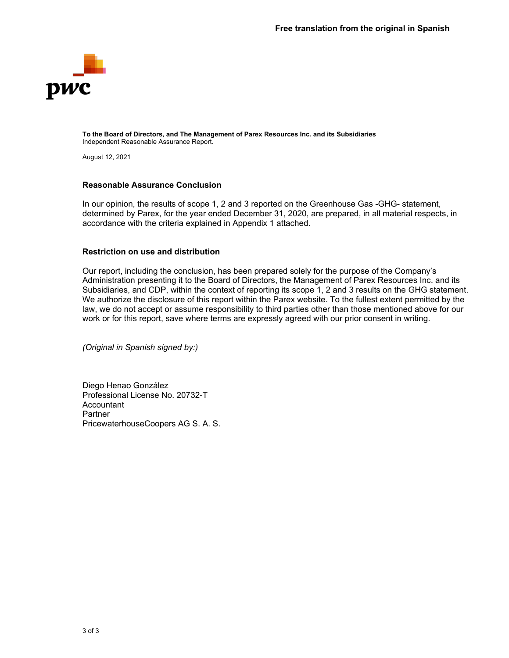

**To the Board of Directors, and The Management of Parex Resources Inc. and its Subsidiaries**  Independent Reasonable Assurance Report.

August 12, 2021

#### **Reasonable Assurance Conclusion**

In our opinion, the results of scope 1, 2 and 3 reported on the Greenhouse Gas -GHG- statement, determined by Parex, for the year ended December 31, 2020, are prepared, in all material respects, in accordance with the criteria explained in Appendix 1 attached.

#### **Restriction on use and distribution**

Our report, including the conclusion, has been prepared solely for the purpose of the Company's Administration presenting it to the Board of Directors, the Management of Parex Resources Inc. and its Subsidiaries, and CDP, within the context of reporting its scope 1, 2 and 3 results on the GHG statement. We authorize the disclosure of this report within the Parex website. To the fullest extent permitted by the law, we do not accept or assume responsibility to third parties other than those mentioned above for our work or for this report, save where terms are expressly agreed with our prior consent in writing.

*(Original in Spanish signed by:)*

Diego Henao González Professional License No. 20732-T Accountant Partner PricewaterhouseCoopers AG S. A. S.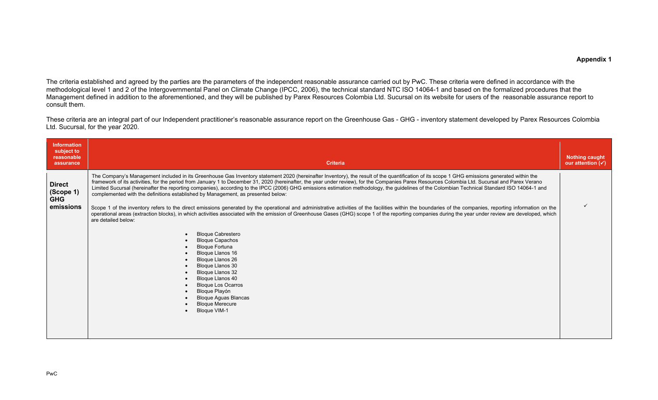The criteria established and agreed by the parties are the parameters of the independent reasonable assurance carried out by PwC. These criteria were defined in accordance with the methodological level 1 and 2 of the Intergovernmental Panel on Climate Change (IPCC, 2006), the technical standard NTC ISO 14064-1 and based on the formalized procedures that the Management defined in addition to the aforementioned, and they will be published by Parex Resources Colombia Ltd. Sucursal on its website for users of the reasonable assurance report to consult them.

These criteria are an integral part of our Independent practitioner's reasonable assurance report on the Greenhouse Gas - GHG - inventory statement developed by Parex Resources Colombia Ltd. Sucursal, for the year 2020.

| <b>Information</b><br>subject to<br>reasonable<br>assurance | <b>Criteria</b>                                                                                                                                                                                                                                                                                                                                                                                                                                                                                                                                                                                                                                                                                                                                                                                                                                                                                                                                                                                                                                                                                                                                                                                                                                                                                                                                                                                                                                                                | <b>Nothing caught</b><br>our attention $(\checkmark)$ |
|-------------------------------------------------------------|--------------------------------------------------------------------------------------------------------------------------------------------------------------------------------------------------------------------------------------------------------------------------------------------------------------------------------------------------------------------------------------------------------------------------------------------------------------------------------------------------------------------------------------------------------------------------------------------------------------------------------------------------------------------------------------------------------------------------------------------------------------------------------------------------------------------------------------------------------------------------------------------------------------------------------------------------------------------------------------------------------------------------------------------------------------------------------------------------------------------------------------------------------------------------------------------------------------------------------------------------------------------------------------------------------------------------------------------------------------------------------------------------------------------------------------------------------------------------------|-------------------------------------------------------|
| <b>Direct</b><br>(Scope 1)<br><b>GHG</b><br>emissions       | The Company's Management included in its Greenhouse Gas Inventory statement 2020 (hereinafter Inventory), the result of the quantification of its scope 1 GHG emissions generated within the<br>framework of its activities, for the period from January 1 to December 31, 2020 (hereinafter, the year under review), for the Companies Parex Resources Colombia Ltd. Sucursal and Parex Verano<br>Limited Sucursal (hereinafter the reporting companies), according to the IPCC (2006) GHG emissions estimation methodology, the guidelines of the Colombian Technical Standard ISO 14064-1 and<br>complemented with the definitions established by Management, as presented below:<br>Scope 1 of the inventory refers to the direct emissions generated by the operational and administrative activities of the facilities within the boundaries of the companies, reporting information on the<br>operational areas (extraction blocks), in which activities associated with the emission of Greenhouse Gases (GHG) scope 1 of the reporting companies during the year under review are developed, which<br>are detailed below:<br><b>Bloque Cabrestero</b><br><b>Bloque Capachos</b><br><b>Bloque Fortuna</b><br><b>Bloque Llanos 16</b><br>Bloque Llanos 26<br><b>Bloque Llanos 30</b><br>Bloque Llanos 32<br>Bloque Llanos 40<br>$\bullet$<br><b>Bloque Los Ocarros</b><br>Bloque Playón<br><b>Bloque Aguas Blancas</b><br><b>Bloque Merecure</b><br><b>Bloque VIM-1</b> |                                                       |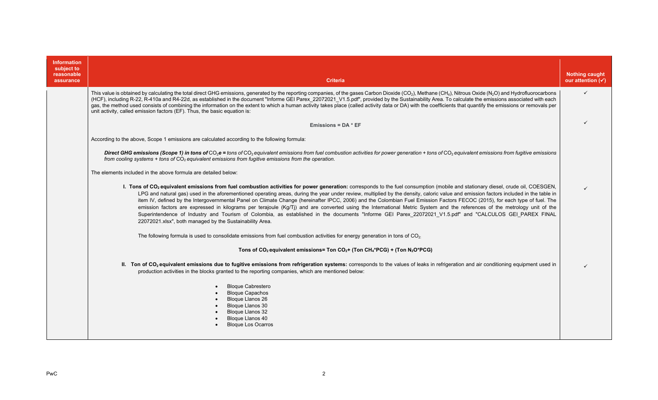| <b>Information</b><br>subject to<br>reasonable<br>assurance | <b>Criteria</b>                                                                                                                                                                                                                                                                                                                                                                                                                                                                                                                                                                                                                                                                                                                                                                                                                                                                                                                                                           | <b>Nothing caught</b><br>our attention $(\checkmark)$ |
|-------------------------------------------------------------|---------------------------------------------------------------------------------------------------------------------------------------------------------------------------------------------------------------------------------------------------------------------------------------------------------------------------------------------------------------------------------------------------------------------------------------------------------------------------------------------------------------------------------------------------------------------------------------------------------------------------------------------------------------------------------------------------------------------------------------------------------------------------------------------------------------------------------------------------------------------------------------------------------------------------------------------------------------------------|-------------------------------------------------------|
|                                                             | This value is obtained by calculating the total direct GHG emissions, generated by the reporting companies, of the gases Carbon Dioxide (CO <sub>2</sub> ), Methane (CH <sub>4</sub> ), Nitrous Oxide (N <sub>2</sub> O) and Hydrofluorocarbons<br>(HCF), including R-22, R-410a and R4-22d, as established in the document "Informe GEI Parex 22072021 V1.5.pdf", provided by the Sustainability Area. To calculate the emissions associated with each<br>gas, the method used consists of combining the information on the extent to which a human activity takes place (called activity data or DA) with the coefficients that quantify the emissions or removals per<br>unit activity, called emission factors (EF). Thus, the basic equation is:                                                                                                                                                                                                                     | $\checkmark$                                          |
|                                                             | Emissions = $DA * EF$                                                                                                                                                                                                                                                                                                                                                                                                                                                                                                                                                                                                                                                                                                                                                                                                                                                                                                                                                     |                                                       |
|                                                             | According to the above, Scope 1 emissions are calculated according to the following formula:                                                                                                                                                                                                                                                                                                                                                                                                                                                                                                                                                                                                                                                                                                                                                                                                                                                                              |                                                       |
|                                                             | Direct GHG emissions (Scope 1) in tons of $CO_2$ e = tons of $CO_2$ equivalent emissions from fuel combustion activities for power generation + tons of $CO_2$ equivalent emissions from fugitive emissions<br>from cooling systems $+$ tons of $CO2$ equivalent emissions from fugitive emissions from the operation.                                                                                                                                                                                                                                                                                                                                                                                                                                                                                                                                                                                                                                                    |                                                       |
|                                                             | The elements included in the above formula are detailed below:                                                                                                                                                                                                                                                                                                                                                                                                                                                                                                                                                                                                                                                                                                                                                                                                                                                                                                            |                                                       |
|                                                             | I. Tons of CO <sub>2</sub> equivalent emissions from fuel combustion activities for power generation: corresponds to the fuel consumption (mobile and stationary diesel, crude oil, COESGEN,<br>LPG and natural gas) used in the aforementioned operating areas, during the year under review, multiplied by the density, caloric value and emission factors included in the table in<br>item IV, defined by the Intergovernmental Panel on Climate Change (hereinafter IPCC, 2006) and the Colombian Fuel Emission Factors FECOC (2015), for each type of fuel. The<br>emission factors are expressed in kilograms per terajoule (Kg/Tj) and are converted using the International Metric System and the references of the metrology unit of the<br>Superintendence of Industry and Tourism of Colombia, as established in the documents "Informe GEI Parex 22072021 V1.5.pdf" and "CALCULOS GEI PAREX FINAL<br>22072021.xlsx", both managed by the Sustainability Area. |                                                       |
|                                                             | The following formula is used to consolidate emissions from fuel combustion activities for energy generation in tons of $CO2$ .                                                                                                                                                                                                                                                                                                                                                                                                                                                                                                                                                                                                                                                                                                                                                                                                                                           |                                                       |
|                                                             | Tons of CO <sub>2</sub> equivalent emissions= Ton CO <sub>2</sub> + (Ton CH <sub>4</sub> *PCG) + (Ton N <sub>2</sub> O*PCG)                                                                                                                                                                                                                                                                                                                                                                                                                                                                                                                                                                                                                                                                                                                                                                                                                                               |                                                       |
|                                                             | II. Ton of CO <sub>2</sub> equivalent emissions due to fugitive emissions from refrigeration systems: corresponds to the values of leaks in refrigeration and air conditioning equipment used in<br>production activities in the blocks granted to the reporting companies, which are mentioned below:                                                                                                                                                                                                                                                                                                                                                                                                                                                                                                                                                                                                                                                                    |                                                       |
|                                                             | <b>Bloque Cabrestero</b><br><b>Bloque Capachos</b><br><b>Bloque Llanos 26</b><br>Bloque Llanos 30<br>Bloque Llanos 32<br>Bloque Llanos 40<br><b>Bloque Los Ocarros</b>                                                                                                                                                                                                                                                                                                                                                                                                                                                                                                                                                                                                                                                                                                                                                                                                    |                                                       |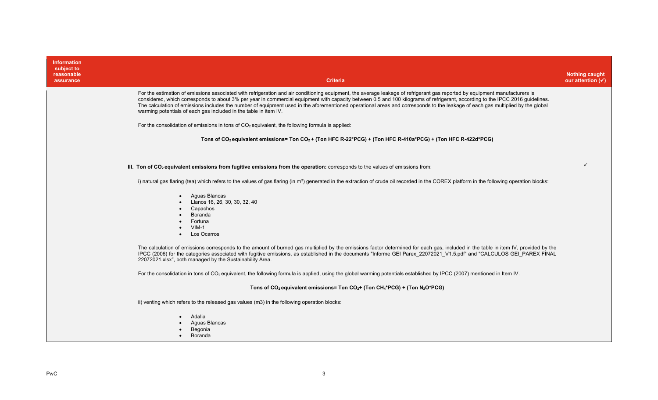| <b>Information</b><br>subject to<br>reasonable<br>assurance | <b>Criteria</b>                                                                                                                                                                                                                                                                                                                                                                                                                                                                                                                                                                                                    | <b>Nothing caught</b><br>our attention $(\checkmark)$ |
|-------------------------------------------------------------|--------------------------------------------------------------------------------------------------------------------------------------------------------------------------------------------------------------------------------------------------------------------------------------------------------------------------------------------------------------------------------------------------------------------------------------------------------------------------------------------------------------------------------------------------------------------------------------------------------------------|-------------------------------------------------------|
|                                                             | For the estimation of emissions associated with refrigeration and air conditioning equipment, the average leakage of refrigerant gas reported by equipment manufacturers is<br>considered, which corresponds to about 3% per year in commercial equipment with capacity between 0.5 and 100 kilograms of refrigerant, according to the IPCC 2016 guidelines.<br>The calculation of emissions includes the number of equipment used in the aforementioned operational areas and corresponds to the leakage of each gas multiplied by the global<br>warming potentials of each gas included in the table in item IV. |                                                       |
|                                                             | For the consolidation of emissions in tons of $CO2$ equivalent, the following formula is applied:                                                                                                                                                                                                                                                                                                                                                                                                                                                                                                                  |                                                       |
|                                                             | Tons of CO <sub>2</sub> equivalent emissions= Ton CO <sub>2</sub> + (Ton HFC R-22*PCG) + (Ton HFC R-410a*PCG) + (Ton HFC R-422d*PCG)                                                                                                                                                                                                                                                                                                                                                                                                                                                                               |                                                       |
|                                                             |                                                                                                                                                                                                                                                                                                                                                                                                                                                                                                                                                                                                                    |                                                       |
|                                                             | III. Ton of $CO2$ equivalent emissions from fugitive emissions from the operation: corresponds to the values of emissions from:                                                                                                                                                                                                                                                                                                                                                                                                                                                                                    |                                                       |
|                                                             | i) natural gas flaring (tea) which refers to the values of gas flaring (in m <sup>3</sup> ) generated in the extraction of crude oil recorded in the COREX platform in the following operation blocks:                                                                                                                                                                                                                                                                                                                                                                                                             |                                                       |
|                                                             | Aquas Blancas<br>Llanos 16, 26, 30, 30, 32, 40<br>Capachos<br>Boranda<br>Fortuna<br>$VIM-1$<br>Los Ocarros<br>$\bullet$                                                                                                                                                                                                                                                                                                                                                                                                                                                                                            |                                                       |
|                                                             | The calculation of emissions corresponds to the amount of burned gas multiplied by the emissions factor determined for each gas, included in the table in item IV, provided by the<br>IPCC (2006) for the categories associated with fugitive emissions, as established in the documents "Informe GEI Parex 22072021 V1.5.pdf" and "CALCULOS GEI PAREX FINAL<br>22072021.xlsx", both managed by the Sustainability Area.                                                                                                                                                                                           |                                                       |
|                                                             | For the consolidation in tons of $CO2$ equivalent, the following formula is applied, using the global warming potentials established by IPCC (2007) mentioned in Item IV.                                                                                                                                                                                                                                                                                                                                                                                                                                          |                                                       |
|                                                             | Tons of $CO_2$ equivalent emissions= Ton $CO_2$ + (Ton $CH_4$ *PCG) + (Ton N <sub>2</sub> O*PCG)                                                                                                                                                                                                                                                                                                                                                                                                                                                                                                                   |                                                       |
|                                                             | ii) venting which refers to the released gas values (m3) in the following operation blocks:                                                                                                                                                                                                                                                                                                                                                                                                                                                                                                                        |                                                       |
|                                                             | Adalia<br>Aguas Blancas<br>Begonia<br><b>Boranda</b>                                                                                                                                                                                                                                                                                                                                                                                                                                                                                                                                                               |                                                       |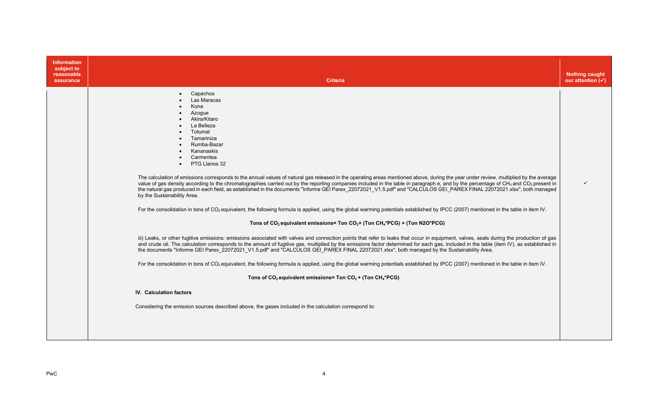| <b>Information</b><br>subject to<br>reasonable<br>assurance | <b>Criteria</b>                                                                                                                                                                                                                                                                                                                                                                                                                                                                                                                                                                                                                                                                                                                                                                                                                                                                                                                                                                                                                                                                                                                                                                                                                                                                                                                                                                                                                                                                                                                                                                                                                                                                                                                                                                                                                                                                                                                                                                                                                    | <b>Nothing caught</b><br>our attention $(\checkmark)$ |
|-------------------------------------------------------------|------------------------------------------------------------------------------------------------------------------------------------------------------------------------------------------------------------------------------------------------------------------------------------------------------------------------------------------------------------------------------------------------------------------------------------------------------------------------------------------------------------------------------------------------------------------------------------------------------------------------------------------------------------------------------------------------------------------------------------------------------------------------------------------------------------------------------------------------------------------------------------------------------------------------------------------------------------------------------------------------------------------------------------------------------------------------------------------------------------------------------------------------------------------------------------------------------------------------------------------------------------------------------------------------------------------------------------------------------------------------------------------------------------------------------------------------------------------------------------------------------------------------------------------------------------------------------------------------------------------------------------------------------------------------------------------------------------------------------------------------------------------------------------------------------------------------------------------------------------------------------------------------------------------------------------------------------------------------------------------------------------------------------------|-------------------------------------------------------|
|                                                             | Capachos<br>Las Maracas<br>Kona<br>Azogue<br>Akira/Kitaro<br>La Belleza<br>Totumal<br>Tamariniza<br>Rumba-Bazar<br>Kananaskis<br>Carmentea<br>PTG Llanos 32<br>The calculation of emissions corresponds to the annual values of natural gas released in the operating areas mentioned above, during the year under review, multiplied by the average<br>value of gas density according to the chromatographies carried out by the reporting companies included in the table in paragraph e, and by the percentage of CH <sub>4</sub> and CO <sub>2</sub> present in<br>the natural gas produced in each field, as established in the documents "Informe GEI Parex 22072021 V1.5 pdf" and "CALCULOS GEI PAREX FINAL 22072021.xlsx", both managed<br>by the Sustainability Area.<br>For the consolidation in tons of CO <sub>2</sub> equivalent, the following formula is applied, using the global warming potentials established by IPCC (2007) mentioned in the table in item IV.<br>Tons of $CO2$ equivalent emissions= Ton $CO2$ + (Ton $CH4$ *PCG) + (Ton N2O*PCG)<br>iii) Leaks, or other fugitive emissions: emissions associated with valves and connection points that refer to leaks that occur in equipment, valves, seals during the production of gas<br>and crude oil. The calculation corresponds to the amount of fugitive gas, multiplied by the emissions factor determined for each gas, included in the table (item IV), as established in<br>the documents "Informe GEI Parex 22072021 V1.5.pdf" and "CALCULOS GEI PAREX FINAL 22072021.xlsx", both managed by the Sustainability Area.<br>For the consolidation in tons of CO <sub>2</sub> equivalent, the following formula is applied, using the global warming potentials established by IPCC (2007) mentioned in the table in item IV.<br>Tons of $CO_2$ equivalent emissions= Ton $CO_2$ + (Ton $CH_4$ *PCG)<br><b>IV.</b> Calculation factors<br>Considering the emission sources described above, the gases included in the calculation correspond to: | ✓                                                     |
|                                                             |                                                                                                                                                                                                                                                                                                                                                                                                                                                                                                                                                                                                                                                                                                                                                                                                                                                                                                                                                                                                                                                                                                                                                                                                                                                                                                                                                                                                                                                                                                                                                                                                                                                                                                                                                                                                                                                                                                                                                                                                                                    |                                                       |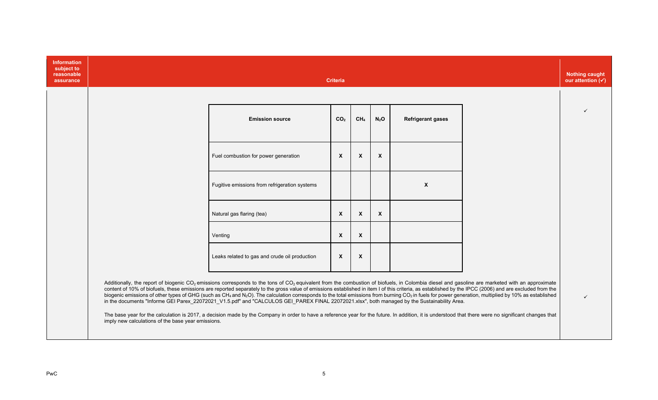| Information<br>subject to<br>reasonable<br>assurance |                                                    |                                                                                                                                                                                                                                                                                                                                                                                                                                                                                                                                                                                                                                                                                                                                                                                                                                | <b>Criteria</b> |                           |              |                          | <b>Nothing caught</b><br>our attention $(\checkmark)$ |
|------------------------------------------------------|----------------------------------------------------|--------------------------------------------------------------------------------------------------------------------------------------------------------------------------------------------------------------------------------------------------------------------------------------------------------------------------------------------------------------------------------------------------------------------------------------------------------------------------------------------------------------------------------------------------------------------------------------------------------------------------------------------------------------------------------------------------------------------------------------------------------------------------------------------------------------------------------|-----------------|---------------------------|--------------|--------------------------|-------------------------------------------------------|
|                                                      |                                                    |                                                                                                                                                                                                                                                                                                                                                                                                                                                                                                                                                                                                                                                                                                                                                                                                                                |                 |                           |              |                          |                                                       |
|                                                      |                                                    | <b>Emission source</b>                                                                                                                                                                                                                                                                                                                                                                                                                                                                                                                                                                                                                                                                                                                                                                                                         | CO <sub>2</sub> | CH <sub>4</sub>           | $N_2$ O      | <b>Refrigerant gases</b> |                                                       |
|                                                      |                                                    | Fuel combustion for power generation                                                                                                                                                                                                                                                                                                                                                                                                                                                                                                                                                                                                                                                                                                                                                                                           | $\mathsf{x}$    | $\boldsymbol{\mathsf{x}}$ | $\mathsf{x}$ |                          |                                                       |
|                                                      |                                                    | Fugitive emissions from refrigeration systems                                                                                                                                                                                                                                                                                                                                                                                                                                                                                                                                                                                                                                                                                                                                                                                  |                 |                           |              | $\mathbf{x}$             |                                                       |
|                                                      |                                                    | Natural gas flaring (tea)                                                                                                                                                                                                                                                                                                                                                                                                                                                                                                                                                                                                                                                                                                                                                                                                      | X               | $\boldsymbol{\mathsf{x}}$ | $\mathsf{x}$ |                          |                                                       |
|                                                      |                                                    | Venting                                                                                                                                                                                                                                                                                                                                                                                                                                                                                                                                                                                                                                                                                                                                                                                                                        | X               | $\mathsf{x}$              |              |                          |                                                       |
|                                                      |                                                    | Leaks related to gas and crude oil production                                                                                                                                                                                                                                                                                                                                                                                                                                                                                                                                                                                                                                                                                                                                                                                  | $\mathsf{x}$    | $\boldsymbol{\mathsf{x}}$ |              |                          |                                                       |
|                                                      |                                                    | Additionally, the report of biogenic CO <sub>2</sub> emissions corresponds to the tons of CO <sub>2</sub> equivalent from the combustion of biofuels, in Colombia diesel and gasoline are marketed with an approximate<br>content of 10% of biofuels, these emissions are reported separately to the gross value of emissions established in item I of this criteria, as established by the IPCC (2006) and are excluded from the<br>biogenic emissions of other types of GHG (such as CH <sub>4</sub> and N <sub>2</sub> O). The calculation corresponds to the total emissions from burning CO <sub>2</sub> in fuels for power generation, multiplied by 10% as established<br>in the documents "Informe GEI Parex_22072021_V1.5.pdf" and "CALCULOS GEI_PAREX FINAL 22072021.xlsx", both managed by the Sustainability Area. |                 |                           |              |                          | ✓                                                     |
|                                                      | imply new calculations of the base year emissions. | The base year for the calculation is 2017, a decision made by the Company in order to have a reference year for the future. In addition, it is understood that there were no significant changes that                                                                                                                                                                                                                                                                                                                                                                                                                                                                                                                                                                                                                          |                 |                           |              |                          |                                                       |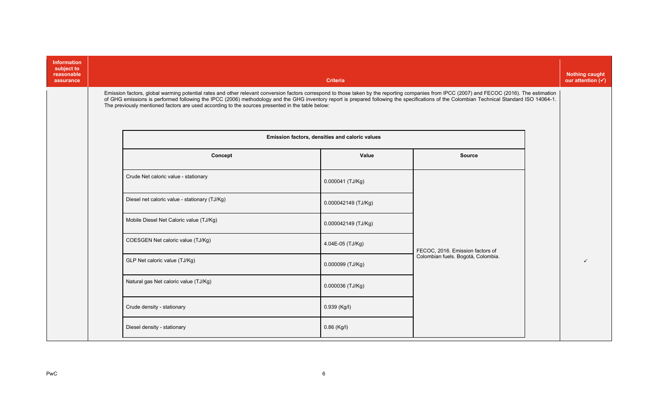| <b>Information</b><br>subject to<br>reasonable<br>assurance |                                                                                                                                                                                                                                                                                                                                                                                                                                                                                                 | <b>Criteria</b>                                |                                    | <b>Nothing caught</b><br>our attention $(\checkmark)$ |
|-------------------------------------------------------------|-------------------------------------------------------------------------------------------------------------------------------------------------------------------------------------------------------------------------------------------------------------------------------------------------------------------------------------------------------------------------------------------------------------------------------------------------------------------------------------------------|------------------------------------------------|------------------------------------|-------------------------------------------------------|
|                                                             | Emission factors, global warming potential rates and other relevant conversion factors correspond to those taken by the reporting companies from IPCC (2007) and FECOC (2016). The estimation<br>of GHG emissions is performed following the IPCC (2006) methodology and the GHG inventory report is prepared following the specifications of the Colombian Technical Standard ISO 14064-1.<br>The previously mentioned factors are used according to the sources presented in the table below: |                                                |                                    |                                                       |
|                                                             |                                                                                                                                                                                                                                                                                                                                                                                                                                                                                                 | Emission factors, densities and caloric values |                                    |                                                       |
|                                                             | Concept                                                                                                                                                                                                                                                                                                                                                                                                                                                                                         | Value                                          | <b>Source</b>                      |                                                       |
|                                                             | Crude Net caloric value - stationary                                                                                                                                                                                                                                                                                                                                                                                                                                                            | 0.000041 (TJ/Kg)                               |                                    |                                                       |
|                                                             | Diesel net caloric value - stationary (TJ/Kg)                                                                                                                                                                                                                                                                                                                                                                                                                                                   | 0.000042149 (TJ/Kg)                            |                                    |                                                       |
|                                                             | Mobile Diesel Net Caloric value (TJ/Kg)                                                                                                                                                                                                                                                                                                                                                                                                                                                         | 0.000042149 (TJ/Kg)                            |                                    |                                                       |
|                                                             | COESGEN Net caloric value (TJ/Kg)                                                                                                                                                                                                                                                                                                                                                                                                                                                               | 4.04E-05 (TJ/Kg)                               | FECOC, 2016. Emission factors of   |                                                       |
|                                                             | GLP Net caloric value (TJ/Kg)                                                                                                                                                                                                                                                                                                                                                                                                                                                                   | 0.000099 (TJ/Kg)                               | Colombian fuels. Bogotá, Colombia. | ✓                                                     |
|                                                             | Natural gas Net caloric value (TJ/Kg)                                                                                                                                                                                                                                                                                                                                                                                                                                                           | 0.000036 (TJ/Kg)                               |                                    |                                                       |
|                                                             | Crude density - stationary                                                                                                                                                                                                                                                                                                                                                                                                                                                                      | 0.939 (Kg/l)                                   |                                    |                                                       |
|                                                             | Diesel density - stationary                                                                                                                                                                                                                                                                                                                                                                                                                                                                     | $0.86$ (Kg/I)                                  |                                    |                                                       |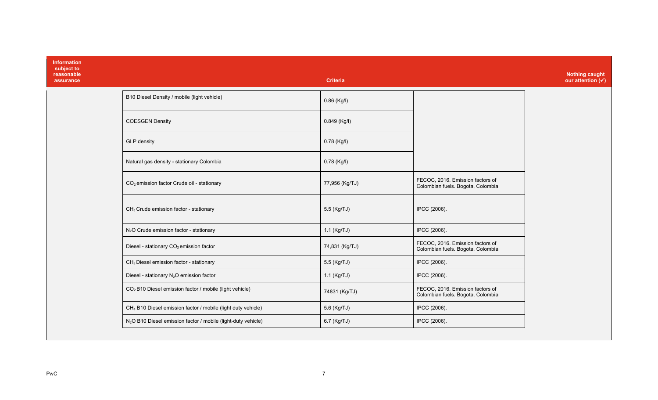| <b>Information</b><br>subject to<br>reasonable<br>assurance |                                                                           | <b>Criteria</b> |                                                                       | <b>Nothing caught</b><br>our attention $(v)$ |
|-------------------------------------------------------------|---------------------------------------------------------------------------|-----------------|-----------------------------------------------------------------------|----------------------------------------------|
|                                                             | B10 Diesel Density / mobile (light vehicle)                               | 0.86 (Kg/l)     |                                                                       |                                              |
|                                                             | <b>COESGEN Density</b>                                                    | 0.849 (Kg/l)    |                                                                       |                                              |
|                                                             | <b>GLP</b> density                                                        | 0.78 (Kg/l)     |                                                                       |                                              |
|                                                             | Natural gas density - stationary Colombia                                 | 0.78 (Kg/l)     |                                                                       |                                              |
|                                                             | CO <sub>2</sub> emission factor Crude oil - stationary                    | 77,956 (Kg/TJ)  | FECOC, 2016. Emission factors of<br>Colombian fuels. Bogota, Colombia |                                              |
|                                                             | CH <sub>4</sub> Crude emission factor - stationary                        | 5.5 (Kg/TJ)     | IPCC (2006).                                                          |                                              |
|                                                             | N <sub>2</sub> O Crude emission factor - stationary                       | $1.1$ (Kg/TJ)   | IPCC (2006).                                                          |                                              |
|                                                             | Diesel - stationary CO <sub>2</sub> emission factor                       | 74,831 (Kg/TJ)  | FECOC, 2016. Emission factors of<br>Colombian fuels. Bogota, Colombia |                                              |
|                                                             | CH <sub>4</sub> Diesel emission factor - stationary                       | 5.5 (Kg/TJ)     | IPCC (2006).                                                          |                                              |
|                                                             | Diesel - stationary N <sub>2</sub> O emission factor                      | 1.1 (Kg/TJ)     | IPCC (2006).                                                          |                                              |
|                                                             | CO <sub>2</sub> B10 Diesel emission factor / mobile (light vehicle)       | 74831 (Kg/TJ)   | FECOC, 2016. Emission factors of<br>Colombian fuels. Bogota, Colombia |                                              |
|                                                             | CH <sub>4</sub> B10 Diesel emission factor / mobile (light duty vehicle)  | 5.6 (Kg/TJ)     | IPCC (2006).                                                          |                                              |
|                                                             | N <sub>2</sub> O B10 Diesel emission factor / mobile (light-duty vehicle) | 6.7 (Kg/TJ)     | IPCC (2006).                                                          |                                              |
|                                                             |                                                                           |                 |                                                                       |                                              |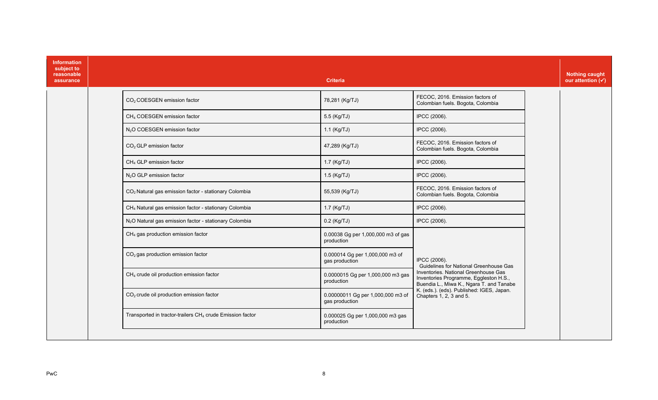| <b>Information</b><br>subject to<br>reasonable<br>assurance |                                                                       | <b>Criteria</b>                                     |                                                                                                                            | <b>Nothing caught</b><br>our attention $(\checkmark)$ |
|-------------------------------------------------------------|-----------------------------------------------------------------------|-----------------------------------------------------|----------------------------------------------------------------------------------------------------------------------------|-------------------------------------------------------|
|                                                             | CO <sub>2</sub> COESGEN emission factor                               | 78,281 (Kg/TJ)                                      | FECOC, 2016. Emission factors of<br>Colombian fuels. Bogota, Colombia                                                      |                                                       |
|                                                             | CH <sub>4</sub> COESGEN emission factor                               | 5.5 (Kg/TJ)                                         | IPCC (2006).                                                                                                               |                                                       |
|                                                             | N <sub>2</sub> O COESGEN emission factor                              | $1.1$ (Kg/TJ)                                       | IPCC (2006).                                                                                                               |                                                       |
|                                                             | $CO2 GLP$ emission factor                                             | 47,289 (Kg/TJ)                                      | FECOC, 2016. Emission factors of<br>Colombian fuels. Bogota, Colombia                                                      |                                                       |
|                                                             | CH <sub>4</sub> GLP emission factor                                   | $1.7$ (Kg/TJ)                                       | IPCC (2006).                                                                                                               |                                                       |
|                                                             | N <sub>2</sub> O GLP emission factor                                  | 1.5 (Kg/TJ)                                         | IPCC (2006).                                                                                                               |                                                       |
|                                                             | CO <sub>2</sub> Natural gas emission factor - stationary Colombia     | 55,539 (Kg/TJ)                                      | FECOC, 2016. Emission factors of<br>Colombian fuels. Bogota, Colombia                                                      |                                                       |
|                                                             | CH <sub>4</sub> Natural gas emission factor - stationary Colombia     | 1.7 (Kg/TJ)                                         | IPCC (2006).                                                                                                               |                                                       |
|                                                             | N <sub>2</sub> O Natural gas emission factor - stationary Colombia    | $0.2$ (Kg/TJ)                                       | IPCC (2006).                                                                                                               |                                                       |
|                                                             | $CH4$ gas production emission factor                                  | 0.00038 Gg per 1,000,000 m3 of gas<br>production    |                                                                                                                            |                                                       |
|                                                             | CO <sub>2</sub> gas production emission factor                        | 0.000014 Gg per 1,000,000 m3 of<br>gas production   | IPCC (2006).<br>Guidelines for National Greenhouse Gas                                                                     |                                                       |
|                                                             | $CH4$ crude oil production emission factor                            | 0.0000015 Gg per 1,000,000 m3 gas<br>production     | Inventories. National Greenhouse Gas<br>Inventories Programme, Eggleston H.S.,<br>Buendia L., Miwa K., Ngara T. and Tanabe |                                                       |
|                                                             | $CO2$ crude oil production emission factor                            | 0.00000011 Gg per 1,000,000 m3 of<br>gas production | K. (eds.). (eds). Published: IGES, Japan.<br>Chapters 1, 2, 3 and 5.                                                       |                                                       |
|                                                             | Transported in tractor-trailers CH <sub>4</sub> crude Emission factor | 0.000025 Gg per 1,000,000 m3 gas<br>production      |                                                                                                                            |                                                       |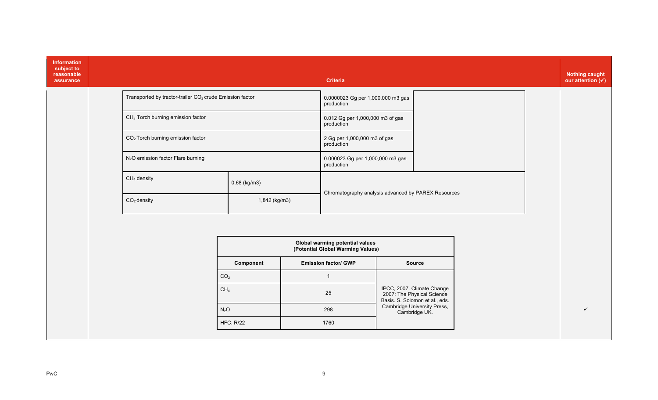| Information<br>subject to<br>reasonable<br>assurance |                                                                      |                  | <b>Criteria</b>                                                      |                                                                                            |  | <b>Nothing caught</b><br>our attention $(v)$ |
|------------------------------------------------------|----------------------------------------------------------------------|------------------|----------------------------------------------------------------------|--------------------------------------------------------------------------------------------|--|----------------------------------------------|
|                                                      | Transported by tractor-trailer CO <sub>2</sub> crude Emission factor |                  | 0.0000023 Gg per 1,000,000 m3 gas<br>production                      |                                                                                            |  |                                              |
|                                                      | CH <sub>4</sub> Torch burning emission factor                        |                  | 0.012 Gg per 1,000,000 m3 of gas<br>production                       |                                                                                            |  |                                              |
|                                                      | CO <sub>2</sub> Torch burning emission factor                        |                  | 2 Gg per 1,000,000 m3 of gas<br>production                           |                                                                                            |  |                                              |
|                                                      | N <sub>2</sub> O emission factor Flare burning                       |                  | 0.000023 Gg per 1,000,000 m3 gas<br>production                       |                                                                                            |  |                                              |
|                                                      | $CH4$ density                                                        | $0.68$ (kg/m3)   |                                                                      |                                                                                            |  |                                              |
|                                                      | $CO2$ density                                                        | 1,842 (kg/m3)    | Chromatography analysis advanced by PAREX Resources                  |                                                                                            |  |                                              |
|                                                      |                                                                      |                  |                                                                      |                                                                                            |  |                                              |
|                                                      |                                                                      |                  | Global warming potential values<br>(Potential Global Warming Values) |                                                                                            |  |                                              |
|                                                      |                                                                      | Component        | <b>Emission factor/ GWP</b>                                          | Source                                                                                     |  |                                              |
|                                                      |                                                                      | CO <sub>2</sub>  | $\overline{1}$                                                       |                                                                                            |  |                                              |
|                                                      |                                                                      | CH <sub>4</sub>  | 25                                                                   | IPCC, 2007. Climate Change<br>2007: The Physical Science<br>Basis. S. Solomon et al., eds. |  |                                              |
|                                                      |                                                                      | $N_2O$           | 298                                                                  | Cambridge University Press,<br>Cambridge UK.                                               |  | ✓                                            |
|                                                      |                                                                      | <b>HFC: R/22</b> | 1760                                                                 |                                                                                            |  |                                              |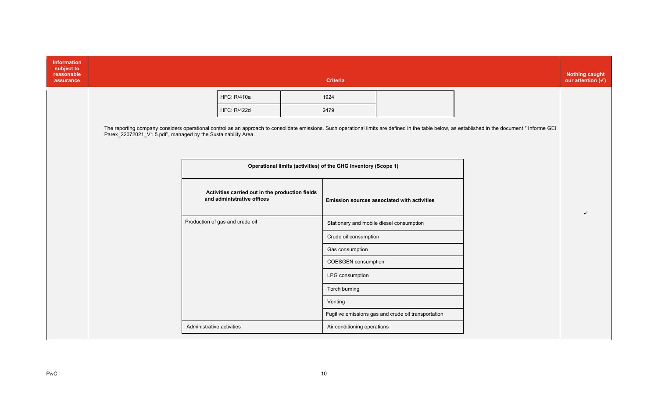| Information<br>subject to<br>reasonable<br>assurance |                                                               |                           |                                                                               | <b>Criteria</b>                                                |                                                     |                                                                                                                                                                                                   | <b>Nothing caught</b><br>our attention $(v)$ |
|------------------------------------------------------|---------------------------------------------------------------|---------------------------|-------------------------------------------------------------------------------|----------------------------------------------------------------|-----------------------------------------------------|---------------------------------------------------------------------------------------------------------------------------------------------------------------------------------------------------|----------------------------------------------|
|                                                      |                                                               |                           | <b>HFC: R/410a</b>                                                            | 1924                                                           |                                                     |                                                                                                                                                                                                   |                                              |
|                                                      |                                                               |                           | <b>HFC: R/422d</b>                                                            | 2479                                                           |                                                     |                                                                                                                                                                                                   |                                              |
|                                                      | Parex_22072021_V1.5.pdf", managed by the Sustainability Area. |                           |                                                                               |                                                                |                                                     | The reporting company considers operational control as an approach to consolidate emissions. Such operational limits are defined in the table below, as established in the document " Informe GEI |                                              |
|                                                      |                                                               |                           |                                                                               | Operational limits (activities) of the GHG inventory (Scope 1) |                                                     |                                                                                                                                                                                                   |                                              |
|                                                      |                                                               |                           | Activities carried out in the production fields<br>and administrative offices |                                                                | <b>Emission sources associated with activities</b>  |                                                                                                                                                                                                   |                                              |
|                                                      |                                                               |                           | Production of gas and crude oil                                               | Stationary and mobile diesel consumption                       |                                                     |                                                                                                                                                                                                   |                                              |
|                                                      |                                                               |                           |                                                                               | Crude oil consumption                                          |                                                     |                                                                                                                                                                                                   |                                              |
|                                                      |                                                               |                           |                                                                               | Gas consumption                                                |                                                     |                                                                                                                                                                                                   |                                              |
|                                                      |                                                               |                           |                                                                               | <b>COESGEN</b> consumption                                     |                                                     |                                                                                                                                                                                                   |                                              |
|                                                      |                                                               |                           |                                                                               | LPG consumption                                                |                                                     |                                                                                                                                                                                                   |                                              |
|                                                      |                                                               |                           |                                                                               | Torch burning                                                  |                                                     |                                                                                                                                                                                                   |                                              |
|                                                      |                                                               |                           |                                                                               | Venting                                                        |                                                     |                                                                                                                                                                                                   |                                              |
|                                                      |                                                               |                           |                                                                               |                                                                | Fugitive emissions gas and crude oil transportation |                                                                                                                                                                                                   |                                              |
|                                                      |                                                               | Administrative activities |                                                                               | Air conditioning operations                                    |                                                     |                                                                                                                                                                                                   |                                              |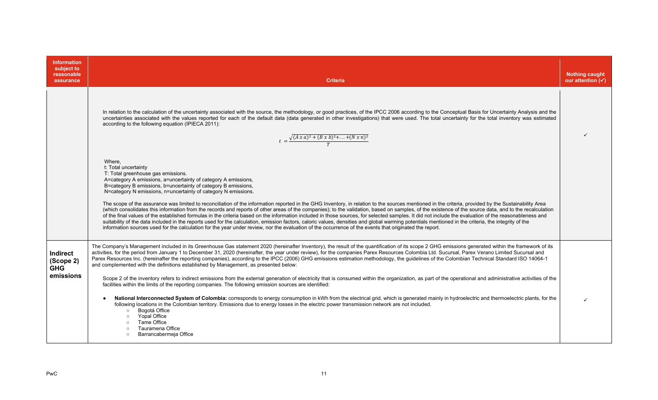| <b>Information</b><br>subject to<br>reasonable<br>assurance | <b>Criteria</b>                                                                                                                                                                                                                                                                                                                                                                                                                                                                                                                                                                                                                                                                                                                                                                                                                                                                                                                                                                                                                                                                                                                                                                                                                                                                                                                                                                                                                                                                                                                | <b>Nothing caught</b><br>our attention $(\checkmark)$ |
|-------------------------------------------------------------|--------------------------------------------------------------------------------------------------------------------------------------------------------------------------------------------------------------------------------------------------------------------------------------------------------------------------------------------------------------------------------------------------------------------------------------------------------------------------------------------------------------------------------------------------------------------------------------------------------------------------------------------------------------------------------------------------------------------------------------------------------------------------------------------------------------------------------------------------------------------------------------------------------------------------------------------------------------------------------------------------------------------------------------------------------------------------------------------------------------------------------------------------------------------------------------------------------------------------------------------------------------------------------------------------------------------------------------------------------------------------------------------------------------------------------------------------------------------------------------------------------------------------------|-------------------------------------------------------|
|                                                             | In relation to the calculation of the uncertainty associated with the source, the methodology, or good practices, of the IPCC 2006 according to the Conceptual Basis for Uncertainty Analysis and the<br>uncertainties associated with the values reported for each of the default data (data generated in other investigations) that were used. The total uncertainty for the total inventory was estimated<br>according to the following equation (IPIECA 2011):<br>$t = \frac{\sqrt{(A x a)^2 + (B x b)^2 + \dots + (N x n)^2}}{T}$                                                                                                                                                                                                                                                                                                                                                                                                                                                                                                                                                                                                                                                                                                                                                                                                                                                                                                                                                                                         |                                                       |
|                                                             | Where,<br>t: Total uncertainty<br>T: Total greenhouse gas emissions.<br>A=category A emissions, a=uncertainty of category A emissions,<br>B=category B emissions, b=uncertainty of category B emissions,<br>N=category N emissions, n=uncertainty of category N emissions.<br>The scope of the assurance was limited to reconciliation of the information reported in the GHG Inventory, in relation to the sources mentioned in the criteria, provided by the Sustainability Area<br>(which consolidates this information from the records and reports of other areas of the companies); to the validation, based on samples, of the existence of the source data, and to the recalculation<br>of the final values of the established formulas in the criteria based on the information included in those sources, for selected samples. It did not include the evaluation of the reasonableness and<br>suitability of the data included in the reports used for the calculation, emission factors, caloric values, densities and global warming potentials mentioned in the criteria, the integrity of the<br>information sources used for the calculation for the year under review, nor the evaluation of the occurrence of the events that originated the report.                                                                                                                                                                                                                                                         |                                                       |
| <b>Indirect</b><br>(Scope 2)<br><b>GHG</b><br>emissions     | The Company's Management included in its Greenhouse Gas statement 2020 (hereinafter Inventory), the result of the quantification of its scope 2 GHG emissions generated within the framework of its<br>activities, for the period from January 1 to December 31, 2020 (hereinafter, the year under review), for the companies Parex Resources Colombia Ltd. Sucursal, Parex Verano Limited Sucursal and<br>Parex Resources Inc. (hereinafter the reporting companies), according to the IPCC (2006) GHG emissions estimation methodology, the guidelines of the Colombian Technical Standard ISO 14064-1<br>and complemented with the definitions established by Management, as presented below:<br>Scope 2 of the inventory refers to indirect emissions from the external generation of electricity that is consumed within the organization, as part of the operational and administrative activities of the<br>facilities within the limits of the reporting companies. The following emission sources are identified:<br>National Interconnected System of Colombia: corresponds to energy consumption in kWh from the electrical grid, which is generated mainly in hydroelectric and thermoelectric plants, for the<br>following locations in the Colombian territory. Emissions due to energy losses in the electric power transmission network are not included.<br>Bogotá Office<br>$\circ$<br>Yopal Office<br>$\circ$<br>Tame Office<br>$\circ$<br>Tauramena Office<br>$\circ$<br>Barrancabermeja Office<br>$\circ$ |                                                       |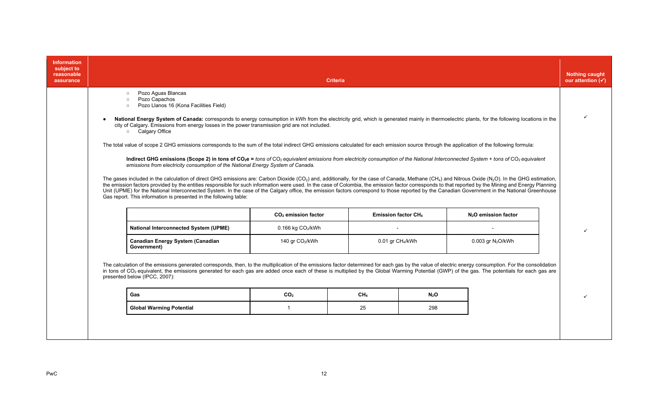| <b>Information</b><br>subject to<br>reasonable<br>assurance |                                                                                                                                                                                                                                                                                                                                                                                                                                                                                                                                                                                                                                                                                                                         | <b>Criteria</b>                 |                              |                  |                                  | <b>Nothing caught</b><br>our attention $(\checkmark)$ |
|-------------------------------------------------------------|-------------------------------------------------------------------------------------------------------------------------------------------------------------------------------------------------------------------------------------------------------------------------------------------------------------------------------------------------------------------------------------------------------------------------------------------------------------------------------------------------------------------------------------------------------------------------------------------------------------------------------------------------------------------------------------------------------------------------|---------------------------------|------------------------------|------------------|----------------------------------|-------------------------------------------------------|
|                                                             | Pozo Aguas Blancas<br>$\circ$<br>Pozo Capachos<br>$\circ$<br>Pozo Llanos 16 (Kona Facilities Field)<br>$\circ$<br>National Energy System of Canada: corresponds to energy consumption in kWh from the electricity grid, which is generated mainly in thermoelectric plants, for the following locations in the<br>city of Calgary. Emissions from energy losses in the power transmission grid are not included.<br>o Calgary Office                                                                                                                                                                                                                                                                                    |                                 |                              |                  |                                  |                                                       |
|                                                             | The total value of scope 2 GHG emissions corresponds to the sum of the total indirect GHG emissions calculated for each emission source through the application of the following formula:<br>Indirect GHG emissions (Scope 2) in tons of CO <sub>2</sub> e = tons of CO <sub>2</sub> equivalent emissions from electricity consumption of the National Interconnected System + tons of CO <sub>2</sub> equivalent<br>emissions from electricity consumption of the National Energy System of Canada.                                                                                                                                                                                                                    |                                 |                              |                  |                                  |                                                       |
|                                                             | The gases included in the calculation of direct GHG emissions are: Carbon Dioxide (CO <sub>2</sub> ) and, additionally, for the case of Canada, Methane (CH <sub>4</sub> ) and Nitrous Oxide (N <sub>2</sub> O). In the GHG estimation,<br>the emission factors provided by the entities responsible for such information were used. In the case of Colombia, the emission factor corresponds to that reported by the Mining and Energy Planning<br>Unit (UPME) for the National Interconnected System. In the case of the Calgary office, the emission factors correspond to those reported by the Canadian Government in the National Greenhouse<br>Gas report. This information is presented in the following table: |                                 |                              |                  |                                  |                                                       |
|                                                             |                                                                                                                                                                                                                                                                                                                                                                                                                                                                                                                                                                                                                                                                                                                         | CO <sub>2</sub> emission factor | Emission factor CH4          |                  | N <sub>2</sub> O emission factor |                                                       |
|                                                             | <b>National Interconnected System (UPME)</b>                                                                                                                                                                                                                                                                                                                                                                                                                                                                                                                                                                                                                                                                            | 0.166 kg $CO2/kWh$              |                              |                  |                                  |                                                       |
|                                                             | <b>Canadian Energy System (Canadian</b><br>Government)                                                                                                                                                                                                                                                                                                                                                                                                                                                                                                                                                                                                                                                                  | 140 gr CO <sub>2</sub> /kWh     | 0.01 gr CH <sub>4</sub> /kWh |                  | 0.003 gr $N_2O/kWh$              |                                                       |
|                                                             | The calculation of the emissions generated corresponds, then, to the multiplication of the emissions factor determined for each gas by the value of electric energy consumption. For the consolidation<br>in tons of CO <sub>2</sub> equivalent, the emissions generated for each gas are added once each of these is multiplied by the Global Warming Potential (GWP) of the gas. The potentials for each gas are<br>presented below (IPCC, 2007):                                                                                                                                                                                                                                                                     |                                 |                              |                  |                                  |                                                       |
|                                                             | Gas                                                                                                                                                                                                                                                                                                                                                                                                                                                                                                                                                                                                                                                                                                                     | CO <sub>2</sub>                 | CH <sub>4</sub>              | N <sub>2</sub> O |                                  |                                                       |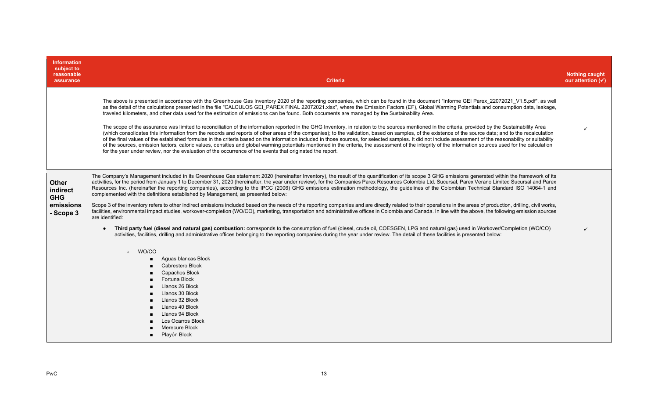| <b>Information</b><br>subject to<br>reasonable<br>assurance      | <b>Criteria</b>                                                                                                                                                                                                                                                                                                                                                                                                                                                                                                                                                                                                                                                                                                                                                                                                                                                                                                                                                                                                                                                                                                                                                                                                                                                                                                                                                                                                                                                                                                                                                                                                                                                                                                                                                                                                                                                                                        | <b>Nothing caught</b><br>our attention $(\checkmark)$ |
|------------------------------------------------------------------|--------------------------------------------------------------------------------------------------------------------------------------------------------------------------------------------------------------------------------------------------------------------------------------------------------------------------------------------------------------------------------------------------------------------------------------------------------------------------------------------------------------------------------------------------------------------------------------------------------------------------------------------------------------------------------------------------------------------------------------------------------------------------------------------------------------------------------------------------------------------------------------------------------------------------------------------------------------------------------------------------------------------------------------------------------------------------------------------------------------------------------------------------------------------------------------------------------------------------------------------------------------------------------------------------------------------------------------------------------------------------------------------------------------------------------------------------------------------------------------------------------------------------------------------------------------------------------------------------------------------------------------------------------------------------------------------------------------------------------------------------------------------------------------------------------------------------------------------------------------------------------------------------------|-------------------------------------------------------|
|                                                                  | The above is presented in accordance with the Greenhouse Gas Inventory 2020 of the reporting companies, which can be found in the document "Informe GEI Parex 22072021 V1.5.pdf", as well<br>as the detail of the calculations presented in the file "CALCULOS GEI_PAREX FINAL 22072021.xlsx", where the Emission Factors (EF), Global Warming Potentials and consumption data, leakage,<br>traveled kilometers, and other data used for the estimation of emissions can be found. Both documents are managed by the Sustainability Area.<br>The scope of the assurance was limited to reconciliation of the information reported in the GHG Inventory, in relation to the sources mentioned in the criteria, provided by the Sustainability Area<br>(which consolidates this information from the records and reports of other areas of the companies); to the validation, based on samples, of the existence of the source data; and to the recalculation<br>of the final values of the established formulas in the criteria based on the information included in those sources, for selected samples. It did not include assessment of the reasonability or suitability<br>of the sources, emission factors, caloric values, densities and global warming potentials mentioned in the criteria, the assessment of the integrity of the information sources used for the calculation<br>for the year under review, nor the evaluation of the occurrence of the events that originated the report.                                                                                                                                                                                                                                                                                                                                                                                                    | ✓                                                     |
| <b>Other</b><br>indirect<br><b>GHG</b><br>emissions<br>- Scope 3 | The Company's Management included in its Greenhouse Gas statement 2020 (hereinafter Inventory), the result of the quantification of its scope 3 GHG emissions generated within the framework of its<br>activities, for the period from January 1 to December 31, 2020 (hereinafter, the year under review), for the Companies Parex Resources Colombia Ltd. Sucursal, Parex Verano Limited Sucursal and Parex<br>Resources Inc. (hereinafter the reporting companies), according to the IPCC (2006) GHG emissions estimation methodology, the guidelines of the Colombian Technical Standard ISO 14064-1 and<br>complemented with the definitions established by Management, as presented below:<br>Scope 3 of the inventory refers to other indirect emissions included based on the needs of the reporting companies and are directly related to their operations in the areas of production, drilling, civil works,<br>facilities, environmental impact studies, workover-completion (WO/CO), marketing, transportation and administrative offices in Colombia and Canada. In line with the above, the following emission sources<br>are identified:<br>Third party fuel (diesel and natural gas) combustion: corresponds to the consumption of fuel (diesel, crude oil, COESGEN, LPG and natural gas) used in Workover/Completion (WO/CO)<br>activities, facilities, drilling and administrative offices belonging to the reporting companies during the year under review. The detail of these facilities is presented below:<br>WO/CO<br>$\circ$<br>Aguas blancas Block<br>$\blacksquare$<br>Cabrestero Block<br>Capachos Block<br>Fortuna Block<br>$\blacksquare$<br>Llanos 26 Block<br>Llanos 30 Block<br>$\blacksquare$<br>Llanos 32 Block<br>$\blacksquare$<br>Llanos 40 Block<br>$\blacksquare$<br>Llanos 94 Block<br>Los Ocarros Block<br>Merecure Block<br>Playón Block<br>$\blacksquare$ | $\checkmark$                                          |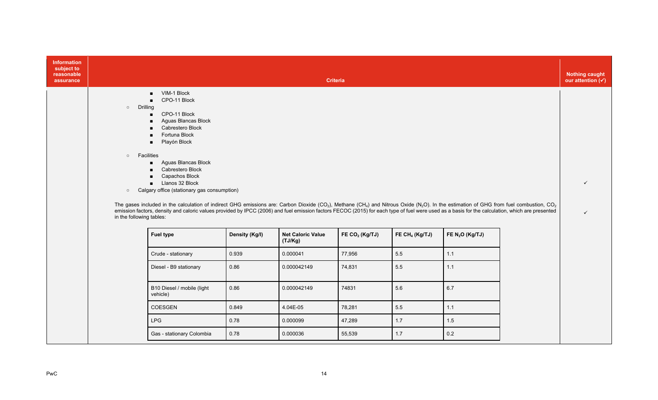| <b>Information</b><br>subject to<br>reasonable<br>assurance |                                                                       |                                                                                                                                                                                                                                                                                                                                                                                                                                                                                                                                                                                                                                                                                                                                                                                     |                | <b>Criteria</b>                     |                  |                            |                   | <b>Nothing caught</b><br>our attention $(\checkmark)$ |
|-------------------------------------------------------------|-----------------------------------------------------------------------|-------------------------------------------------------------------------------------------------------------------------------------------------------------------------------------------------------------------------------------------------------------------------------------------------------------------------------------------------------------------------------------------------------------------------------------------------------------------------------------------------------------------------------------------------------------------------------------------------------------------------------------------------------------------------------------------------------------------------------------------------------------------------------------|----------------|-------------------------------------|------------------|----------------------------|-------------------|-------------------------------------------------------|
|                                                             | Drilling<br>$\circ$<br>$\circ$<br>$\circ$<br>in the following tables: | VIM-1 Block<br>CPO-11 Block<br>CPO-11 Block<br>п.<br>Aguas Blancas Block<br>■<br>Cabrestero Block<br>Fortuna Block<br>Playón Block<br>$\blacksquare$<br>Facilities<br>Aguas Blancas Block<br>$\blacksquare$<br>Cabrestero Block<br>$\blacksquare$<br>Capachos Block<br>Llanos 32 Block<br>Calgary office (stationary gas consumption)<br>The gases included in the calculation of indirect GHG emissions are: Carbon Dioxide (CO <sub>2</sub> ), Methane (CH <sub>4</sub> ) and Nitrous Oxide (N <sub>2</sub> O). In the estimation of GHG from fuel combustion, CO <sub>2</sub><br>emission factors, density and caloric values provided by IPCC (2006) and fuel emission factors FECOC (2015) for each type of fuel were used as a basis for the calculation, which are presented |                |                                     |                  |                            |                   | $\checkmark$<br>$\checkmark$                          |
|                                                             |                                                                       | <b>Fuel type</b>                                                                                                                                                                                                                                                                                                                                                                                                                                                                                                                                                                                                                                                                                                                                                                    | Density (Kg/l) | <b>Net Caloric Value</b><br>(TJ/Kg) | FE $CO2$ (Kg/TJ) | FE CH <sub>4</sub> (Kg/TJ) | FE $N_2O$ (Kg/TJ) |                                                       |
|                                                             |                                                                       | Crude - stationary                                                                                                                                                                                                                                                                                                                                                                                                                                                                                                                                                                                                                                                                                                                                                                  | 0.939          | 0.000041                            | 77,956           | 5.5                        | 1.1               |                                                       |
|                                                             |                                                                       | Diesel - B9 stationary                                                                                                                                                                                                                                                                                                                                                                                                                                                                                                                                                                                                                                                                                                                                                              | 0.86           | 0.000042149                         | 74,831           | 5.5                        | 1.1               |                                                       |
|                                                             |                                                                       | B10 Diesel / mobile (light<br>vehicle)                                                                                                                                                                                                                                                                                                                                                                                                                                                                                                                                                                                                                                                                                                                                              | 0.86           | 0.000042149                         | 74831            | 5.6                        | 6.7               |                                                       |
|                                                             |                                                                       | <b>COESGEN</b>                                                                                                                                                                                                                                                                                                                                                                                                                                                                                                                                                                                                                                                                                                                                                                      | 0.849          | 4.04E-05                            | 78,281           | 5.5                        | 1.1               |                                                       |
|                                                             |                                                                       | <b>LPG</b>                                                                                                                                                                                                                                                                                                                                                                                                                                                                                                                                                                                                                                                                                                                                                                          | 0.78           | 0.000099                            | 47,289           | $1.7$                      | 1.5               |                                                       |
|                                                             |                                                                       | Gas - stationary Colombia                                                                                                                                                                                                                                                                                                                                                                                                                                                                                                                                                                                                                                                                                                                                                           | 0.78           | 0.000036                            | 55,539           | $1.7$                      | 0.2               |                                                       |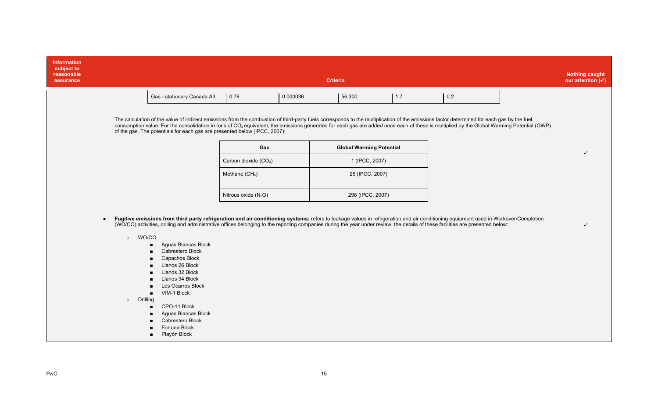| <b>Information</b><br>subject to<br>reasonable<br>assurance | <b>Criteria</b>                       |                                                                                                                                                                                                                                                                                                                                                                                                                                                                                                               |                                                                        |          |                                                                      |     |     |  | <b>Nothing caught</b><br>our attention $(\checkmark)$ |
|-------------------------------------------------------------|---------------------------------------|---------------------------------------------------------------------------------------------------------------------------------------------------------------------------------------------------------------------------------------------------------------------------------------------------------------------------------------------------------------------------------------------------------------------------------------------------------------------------------------------------------------|------------------------------------------------------------------------|----------|----------------------------------------------------------------------|-----|-----|--|-------------------------------------------------------|
|                                                             |                                       | Gas - stationary Canada A3<br>The calculation of the value of indirect emissions from the combustion of third-party fuels corresponds to the multiplication of the emissions factor determined for each gas by the fuel<br>consumption value. For the consolidation in tons of CO <sub>2</sub> equivalent, the emissions generated for each gas are added once each of these is multiplied by the Global Warming Potential (GWP)<br>of the gas. The potentials for each gas are presented below (IPCC, 2007): | 0.78                                                                   | 0.000036 | 56,300                                                               | 1.7 | 0.2 |  |                                                       |
|                                                             |                                       |                                                                                                                                                                                                                                                                                                                                                                                                                                                                                                               | Gas<br>Carbon dioxide (CO <sub>2</sub> )<br>Methane (CH <sub>4</sub> ) |          | <b>Global Warming Potential</b><br>1 (IPCC, 2007)<br>25 (IPCC, 2007) |     |     |  |                                                       |
|                                                             | $\bullet$                             | Fugitive emissions from third party refrigeration and air conditioning systems: refers to leakage values in refrigeration and air conditioning equipment used in Workover/Completion                                                                                                                                                                                                                                                                                                                          | Nitrous oxide $(N_2O)$                                                 |          | 298 (IPCC, 2007)                                                     |     |     |  |                                                       |
|                                                             | $\circ$<br><b>Drilling</b><br>$\circ$ | (WO/CO) activities, drilling and administrative offices belonging to the reporting companies during the year under review, the details of these facilities are presented below:<br>WO/CO<br>Aguas Blancas Block<br>Cabrestero Block<br>Capachos Block<br>Llanos 26 Block<br>$\blacksquare$<br>Llanos 32 Block<br>Llanos 94 Block<br>Los Ocarros Block<br>VIM-1 Block<br>п.<br>CPO-11 Block<br>Aguas Blancas Block<br>Cabrestero Block<br>Fortuna Block<br>Playón Block<br>$\blacksquare$                      |                                                                        |          |                                                                      |     |     |  |                                                       |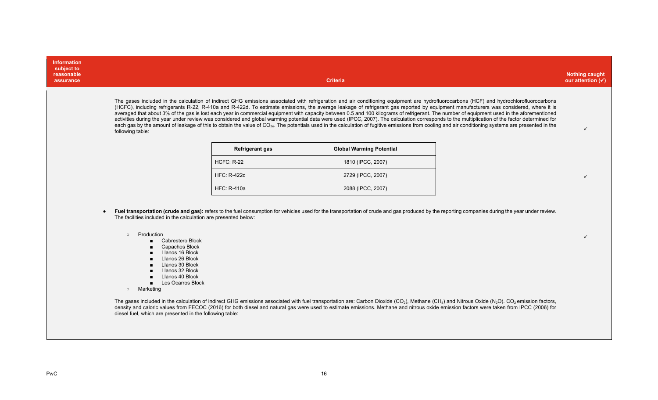| <b>Information</b><br>subject to<br>reasonable<br>assurance | <b>Criteria</b>                                                                                                                                                                                                                                                                                                                                                                                                                                                                                                                                                                                                                                                                                                                                                                                                                                                                                                                                                                                                         | <b>Nothing caught</b><br>our attention $(\checkmark)$ |
|-------------------------------------------------------------|-------------------------------------------------------------------------------------------------------------------------------------------------------------------------------------------------------------------------------------------------------------------------------------------------------------------------------------------------------------------------------------------------------------------------------------------------------------------------------------------------------------------------------------------------------------------------------------------------------------------------------------------------------------------------------------------------------------------------------------------------------------------------------------------------------------------------------------------------------------------------------------------------------------------------------------------------------------------------------------------------------------------------|-------------------------------------------------------|
|                                                             | The gases included in the calculation of indirect GHG emissions associated with refrigeration and air conditioning equipment are hydrofluorocarbons (HCF) and hydrochlorofluorocarbons<br>(HCFC), including refrigerants R-22, R-410a and R-422d. To estimate emissions, the average leakage of refrigerant gas reported by equipment manufacturers was considered, where it is<br>averaged that about 3% of the gas is lost each year in commercial equipment with capacity between 0.5 and 100 kilograms of refrigerant. The number of equipment used in the aforementioned<br>activities during the year under review was considered and global warming potential data were used (IPCC, 2007). The calculation corresponds to the multiplication of the factor determined for<br>each gas by the amount of leakage of this to obtain the value of CO <sub>2e</sub> . The potentials used in the calculation of fugitive emissions from cooling and air conditioning systems are presented in the<br>following table: |                                                       |
|                                                             | <b>Refrigerant gas</b><br><b>Global Warming Potential</b>                                                                                                                                                                                                                                                                                                                                                                                                                                                                                                                                                                                                                                                                                                                                                                                                                                                                                                                                                               |                                                       |
|                                                             | <b>HCFC: R-22</b><br>1810 (IPCC, 2007)                                                                                                                                                                                                                                                                                                                                                                                                                                                                                                                                                                                                                                                                                                                                                                                                                                                                                                                                                                                  |                                                       |
|                                                             | <b>HFC: R-422d</b><br>2729 (IPCC, 2007)                                                                                                                                                                                                                                                                                                                                                                                                                                                                                                                                                                                                                                                                                                                                                                                                                                                                                                                                                                                 |                                                       |
|                                                             | <b>HFC: R-410a</b><br>2088 (IPCC, 2007)                                                                                                                                                                                                                                                                                                                                                                                                                                                                                                                                                                                                                                                                                                                                                                                                                                                                                                                                                                                 |                                                       |
|                                                             | Fuel transportation (crude and gas): refers to the fuel consumption for vehicles used for the transportation of crude and gas produced by the reporting companies during the year under review.<br>The facilities included in the calculation are presented below:<br>Production<br>$\circ$<br>Cabrestero Block<br>Capachos Block<br>Llanos 16 Block<br>Llanos 26 Block<br>Llanos 30 Block<br>Llanos 32 Block<br>Llanos 40 Block<br><b>Los Ocarros Block</b><br>Marketing<br>$\circ$<br>The gases included in the calculation of indirect GHG emissions associated with fuel transportation are: Carbon Dioxide (CO <sub>2</sub> ), Methane (CH <sub>4</sub> ) and Nitrous Oxide (N <sub>2</sub> O). CO <sub>2</sub> emission factors,<br>density and caloric values from FECOC (2016) for both diesel and natural gas were used to estimate emissions. Methane and nitrous oxide emission factors were taken from IPCC (2006) for<br>diesel fuel, which are presented in the following table:                          |                                                       |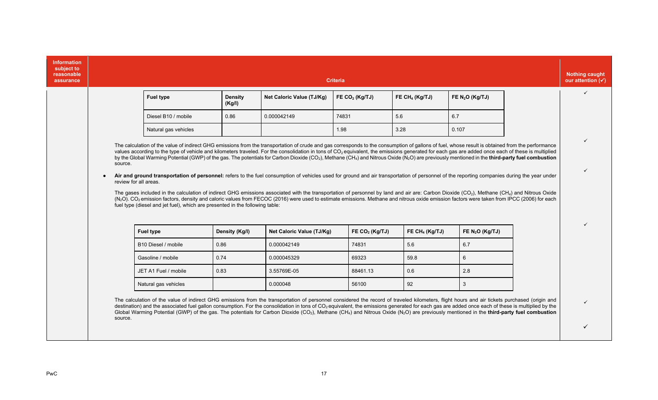| <b>Information</b><br>subject to<br>reasonable<br>assurance                                                                                                                                                                                                                                                                                                                                                                                                                                                                                                                                                                                                                                                                                                                                                                                                                                                                                                                                                                                                                                                                                                                                                                                                                                                                                                                                                                |         |                                                                                                                                                                                                                                                                                                                                                                                                                                                                                                                                                                                                                                              |                   |                           | <b>Criteria</b>  |                            |                   | <b>Nothing caught</b><br>our attention $(\checkmark)$ |
|----------------------------------------------------------------------------------------------------------------------------------------------------------------------------------------------------------------------------------------------------------------------------------------------------------------------------------------------------------------------------------------------------------------------------------------------------------------------------------------------------------------------------------------------------------------------------------------------------------------------------------------------------------------------------------------------------------------------------------------------------------------------------------------------------------------------------------------------------------------------------------------------------------------------------------------------------------------------------------------------------------------------------------------------------------------------------------------------------------------------------------------------------------------------------------------------------------------------------------------------------------------------------------------------------------------------------------------------------------------------------------------------------------------------------|---------|----------------------------------------------------------------------------------------------------------------------------------------------------------------------------------------------------------------------------------------------------------------------------------------------------------------------------------------------------------------------------------------------------------------------------------------------------------------------------------------------------------------------------------------------------------------------------------------------------------------------------------------------|-------------------|---------------------------|------------------|----------------------------|-------------------|-------------------------------------------------------|
|                                                                                                                                                                                                                                                                                                                                                                                                                                                                                                                                                                                                                                                                                                                                                                                                                                                                                                                                                                                                                                                                                                                                                                                                                                                                                                                                                                                                                            |         | <b>Fuel type</b>                                                                                                                                                                                                                                                                                                                                                                                                                                                                                                                                                                                                                             | Density<br>(Kg/l) | Net Caloric Value (TJ/Kg) | FE $CO2$ (Kg/TJ) | FE CH <sub>4</sub> (Kg/TJ) | FE $N_2O$ (Kg/TJ) | $\checkmark$                                          |
|                                                                                                                                                                                                                                                                                                                                                                                                                                                                                                                                                                                                                                                                                                                                                                                                                                                                                                                                                                                                                                                                                                                                                                                                                                                                                                                                                                                                                            |         | Diesel B10 / mobile                                                                                                                                                                                                                                                                                                                                                                                                                                                                                                                                                                                                                          | 0.86              | 0.000042149               | 74831            | 5.6                        | 6.7               |                                                       |
|                                                                                                                                                                                                                                                                                                                                                                                                                                                                                                                                                                                                                                                                                                                                                                                                                                                                                                                                                                                                                                                                                                                                                                                                                                                                                                                                                                                                                            |         | Natural gas vehicles                                                                                                                                                                                                                                                                                                                                                                                                                                                                                                                                                                                                                         |                   |                           | 1.98             | 3.28                       | 0.107             |                                                       |
| The calculation of the value of indirect GHG emissions from the transportation of crude and gas corresponds to the consumption of gallons of fuel, whose result is obtained from the performance<br>values according to the type of vehicle and kilometers traveled. For the consolidation in tons of CO <sub>2</sub> equivalent, the emissions generated for each gas are added once each of these is multiplied<br>by the Global Warming Potential (GWP) of the gas. The potentials for Carbon Dioxide (CO <sub>2</sub> ), Methane (CH <sub>4</sub> ) and Nitrous Oxide (N <sub>2</sub> O) are previously mentioned in the third-party fuel combustion<br>source.<br>Air and ground transportation of personnel: refers to the fuel consumption of vehicles used for ground and air transportation of personnel of the reporting companies during the year under<br>review for all areas.<br>The gases included in the calculation of indirect GHG emissions associated with the transportation of personnel by land and air are: Carbon Dioxide (CO <sub>2</sub> ), Methane (CH <sub>4</sub> ) and Nitrous Oxide<br>(N <sub>2</sub> O). CO <sub>2</sub> emission factors, density and caloric values from FECOC (2016) were used to estimate emissions. Methane and nitrous oxide emission factors were taken from IPCC (2006) for each<br>fuel type (diesel and jet fuel), which are presented in the following table: |         |                                                                                                                                                                                                                                                                                                                                                                                                                                                                                                                                                                                                                                              |                   |                           |                  |                            |                   |                                                       |
|                                                                                                                                                                                                                                                                                                                                                                                                                                                                                                                                                                                                                                                                                                                                                                                                                                                                                                                                                                                                                                                                                                                                                                                                                                                                                                                                                                                                                            |         | B10 Diesel / mobile                                                                                                                                                                                                                                                                                                                                                                                                                                                                                                                                                                                                                          | 0.86              | 0.000042149               | 74831            | 5.6                        | 6.7               |                                                       |
|                                                                                                                                                                                                                                                                                                                                                                                                                                                                                                                                                                                                                                                                                                                                                                                                                                                                                                                                                                                                                                                                                                                                                                                                                                                                                                                                                                                                                            |         | Gasoline / mobile                                                                                                                                                                                                                                                                                                                                                                                                                                                                                                                                                                                                                            | 0.74              | 0.000045329               | 69323            | 59.8                       | 6                 |                                                       |
|                                                                                                                                                                                                                                                                                                                                                                                                                                                                                                                                                                                                                                                                                                                                                                                                                                                                                                                                                                                                                                                                                                                                                                                                                                                                                                                                                                                                                            |         | JET A1 Fuel / mobile                                                                                                                                                                                                                                                                                                                                                                                                                                                                                                                                                                                                                         | 0.83              | 3.55769E-05               | 88461.13         | 0.6                        | 2.8               |                                                       |
|                                                                                                                                                                                                                                                                                                                                                                                                                                                                                                                                                                                                                                                                                                                                                                                                                                                                                                                                                                                                                                                                                                                                                                                                                                                                                                                                                                                                                            |         | Natural gas vehicles                                                                                                                                                                                                                                                                                                                                                                                                                                                                                                                                                                                                                         |                   | 0.000048                  | 56100            | 92                         | 3                 |                                                       |
|                                                                                                                                                                                                                                                                                                                                                                                                                                                                                                                                                                                                                                                                                                                                                                                                                                                                                                                                                                                                                                                                                                                                                                                                                                                                                                                                                                                                                            | source. | The calculation of the value of indirect GHG emissions from the transportation of personnel considered the record of traveled kilometers, flight hours and air tickets purchased (origin and<br>destination) and the associated fuel gallon consumption. For the consolidation in tons of CO <sub>2</sub> equivalent, the emissions generated for each gas are added once each of these is multiplied by the<br>Global Warming Potential (GWP) of the gas. The potentials for Carbon Dioxide (CO <sub>2</sub> ), Methane (CH <sub>4</sub> ) and Nitrous Oxide (N <sub>2</sub> O) are previously mentioned in the third-party fuel combustion |                   |                           |                  |                            |                   |                                                       |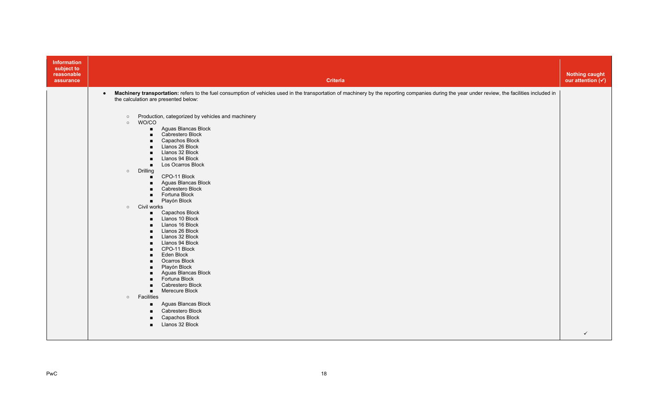| Information<br>subject to<br>reasonable<br>assurance | <b>Criteria</b>                                                                                                                                                                                                                                                                                                                                                                                                                                                                                                                                                                                                                                                                                                                                                                                                                                                                                                                                                                                                                                                                                                                                                                          | <b>Nothing caught</b><br>our attention $(\checkmark)$ |
|------------------------------------------------------|------------------------------------------------------------------------------------------------------------------------------------------------------------------------------------------------------------------------------------------------------------------------------------------------------------------------------------------------------------------------------------------------------------------------------------------------------------------------------------------------------------------------------------------------------------------------------------------------------------------------------------------------------------------------------------------------------------------------------------------------------------------------------------------------------------------------------------------------------------------------------------------------------------------------------------------------------------------------------------------------------------------------------------------------------------------------------------------------------------------------------------------------------------------------------------------|-------------------------------------------------------|
|                                                      | Machinery transportation: refers to the fuel consumption of vehicles used in the transportation of machinery by the reporting companies during the year under review, the facilities included in<br>$\bullet$<br>the calculation are presented below:<br>Production, categorized by vehicles and machinery<br>$\circ$<br>WO/CO<br>$\circ$<br>Aguas Blancas Block<br>$\blacksquare$<br>Cabrestero Block<br>$\blacksquare$<br>Capachos Block<br>Llanos 26 Block<br>Llanos 32 Block<br>Llanos 94 Block<br>$\blacksquare$<br>Los Ocarros Block<br>$\blacksquare$<br>$\circ$ Drilling<br>CPO-11 Block<br>$\blacksquare$<br>Aguas Blancas Block<br>Cabrestero Block<br>Fortuna Block<br>$\blacksquare$<br>Playón Block<br>$\blacksquare$<br>o Civil works<br>Capachos Block<br>$\blacksquare$<br>Llanos 10 Block<br>Llanos 16 Block<br>Llanos 26 Block<br>Llanos 32 Block<br>Llanos 94 Block<br>CPO-11 Block<br>Eden Block<br>$\blacksquare$<br>Ocarros Block<br>$\blacksquare$<br>Playón Block<br>Aguas Blancas Block<br>Fortuna Block<br>$\blacksquare$<br>Cabrestero Block<br>Merecure Block<br>$\blacksquare$<br>o Facilities<br>Aguas Blancas Block<br>Cabrestero Block<br>Capachos Block |                                                       |
|                                                      | Llanos 32 Block<br>$\blacksquare$                                                                                                                                                                                                                                                                                                                                                                                                                                                                                                                                                                                                                                                                                                                                                                                                                                                                                                                                                                                                                                                                                                                                                        | $\checkmark$                                          |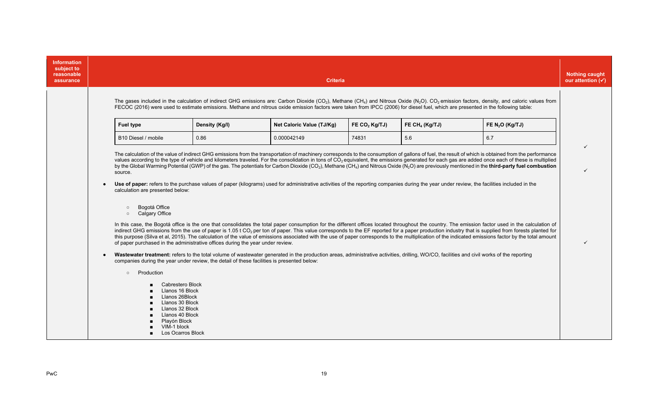| <b>Information</b><br>subject to<br>reasonable<br>assurance |                                                                                                                                                                                                                                              |                | <b>Criteria</b>                                                                                                                                                                             |                 |                            |                                                                                                                                                                                                                                                                                                                                                                                                                                                                                                                                                                                                                                                             | <b>Nothing caught</b><br>our attention $(\checkmark)$ |
|-------------------------------------------------------------|----------------------------------------------------------------------------------------------------------------------------------------------------------------------------------------------------------------------------------------------|----------------|---------------------------------------------------------------------------------------------------------------------------------------------------------------------------------------------|-----------------|----------------------------|-------------------------------------------------------------------------------------------------------------------------------------------------------------------------------------------------------------------------------------------------------------------------------------------------------------------------------------------------------------------------------------------------------------------------------------------------------------------------------------------------------------------------------------------------------------------------------------------------------------------------------------------------------------|-------------------------------------------------------|
|                                                             |                                                                                                                                                                                                                                              |                | FECOC (2016) were used to estimate emissions. Methane and nitrous oxide emission factors were taken from IPCC (2006) for diesel fuel, which are presented in the following table:           |                 |                            | The gases included in the calculation of indirect GHG emissions are: Carbon Dioxide (CO <sub>2</sub> ), Methane (CH <sub>4</sub> ) and Nitrous Oxide (N <sub>2</sub> O). CO <sub>2</sub> emission factors, density, and caloric values from                                                                                                                                                                                                                                                                                                                                                                                                                 |                                                       |
|                                                             | Fuel type                                                                                                                                                                                                                                    | Density (Kg/I) | Net Caloric Value (TJ/Kg)                                                                                                                                                                   | FE $CO2$ Kg/TJ) | FE CH <sub>4</sub> (Kg/TJ) | FE $N_2O$ (Kg/TJ)                                                                                                                                                                                                                                                                                                                                                                                                                                                                                                                                                                                                                                           |                                                       |
|                                                             | B10 Diesel / mobile                                                                                                                                                                                                                          | 0.86           | 0.000042149                                                                                                                                                                                 | 74831           | 5.6                        | 6.7                                                                                                                                                                                                                                                                                                                                                                                                                                                                                                                                                                                                                                                         |                                                       |
|                                                             | source.<br>calculation are presented below:                                                                                                                                                                                                  |                | Use of paper: refers to the purchase values of paper (kilograms) used for administrative activities of the reporting companies during the year under review, the facilities included in the |                 |                            | The calculation of the value of indirect GHG emissions from the transportation of machinery corresponds to the consumption of gallons of fuel, the result of which is obtained from the performance<br>values according to the type of vehicle and kilometers traveled. For the consolidation in tons of CO <sub>2</sub> equivalent, the emissions generated for each gas are added once each of these is multiplied<br>by the Global Warming Potential (GWP) of the gas. The potentials for Carbon Dioxide (CO <sub>2</sub> ), Methane (CH <sub>4</sub> ) and Nitrous Oxide (N <sub>2</sub> O) are previously mentioned in the third-party fuel combustion |                                                       |
|                                                             | Bogotá Office<br>$\circ$<br><b>Calgary Office</b><br>$\circ$<br>of paper purchased in the administrative offices during the year under review.<br>companies during the year under review, the detail of these facilities is presented below: |                | Wastewater treatment: refers to the total volume of wastewater generated in the production areas, administrative activities, drilling, WO/CO, facilities and civil works of the reporting   |                 |                            | In this case, the Bogotá office is the one that consolidates the total paper consumption for the different offices located throughout the country. The emission factor used in the calculation of<br>indirect GHG emissions from the use of paper is 1.05 t CO <sub>2</sub> per ton of paper. This value corresponds to the EF reported for a paper production industry that is supplied from forests planted for<br>this purpose (Silva et al, 2015). The calculation of the value of emissions associated with the use of paper corresponds to the multiplication of the indicated emissions factor by the total amount                                   |                                                       |
|                                                             | Production<br>$\circ$<br>Cabrestero Block<br>Llanos 16 Block<br>Llanos 26Block<br>Llanos 30 Block<br>Llanos 32 Block<br>Llanos 40 Block<br>Playón Block<br>VIM-1 block<br>Los Ocarros Block                                                  |                |                                                                                                                                                                                             |                 |                            |                                                                                                                                                                                                                                                                                                                                                                                                                                                                                                                                                                                                                                                             |                                                       |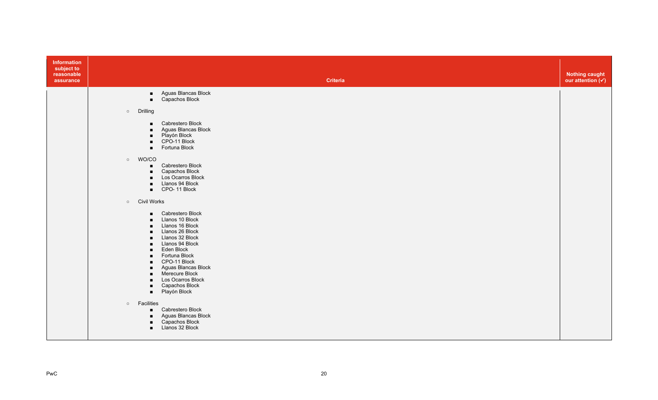| Information<br>subject to<br>reasonable<br>assurance |                                                                                                                                                                                                                                                          | <b>Criteria</b>                                                                                                                                                                                                                                                | <b>Nothing caught</b><br>our attention $(v)$ |
|------------------------------------------------------|----------------------------------------------------------------------------------------------------------------------------------------------------------------------------------------------------------------------------------------------------------|----------------------------------------------------------------------------------------------------------------------------------------------------------------------------------------------------------------------------------------------------------------|----------------------------------------------|
|                                                      | $\blacksquare$                                                                                                                                                                                                                                           | Aguas Blancas Block<br>Capachos Block                                                                                                                                                                                                                          |                                              |
|                                                      | Drilling<br>$\circ$                                                                                                                                                                                                                                      |                                                                                                                                                                                                                                                                |                                              |
|                                                      | $\blacksquare$<br>$\blacksquare$<br>$\blacksquare$<br>$\blacksquare$<br>$\blacksquare$                                                                                                                                                                   | Cabrestero Block<br>Aguas Blancas Block<br>Playón Block<br>CPO-11 Block<br>Fortuna Block                                                                                                                                                                       |                                              |
|                                                      | o WO/CO<br>$\blacksquare$<br>$\blacksquare$<br>$\blacksquare$<br>$\blacksquare$                                                                                                                                                                          | Cabrestero Block<br>Capachos Block<br>Los Ocarros Block<br>Llanos 94 Block<br>CPO-11 Block                                                                                                                                                                     |                                              |
|                                                      | o Civil Works                                                                                                                                                                                                                                            |                                                                                                                                                                                                                                                                |                                              |
|                                                      | $\blacksquare$<br>$\blacksquare$<br>$\blacksquare$<br>$\blacksquare$<br>$\blacksquare$<br>$\blacksquare$<br>$\blacksquare$<br>$\blacksquare$<br>$\blacksquare$<br>$\blacksquare$<br>$\blacksquare$<br>$\blacksquare$<br>$\blacksquare$<br>$\blacksquare$ | Cabrestero Block<br>Llanos 10 Block<br>Llanos 16 Block<br>Llanos 26 Block<br>Llanos 32 Block<br>Llanos 94 Block<br>Eden Block<br>Fortuna Block<br>CPO-11 Block<br>Aguas Blancas Block<br>Merecure Block<br>Los Ocarros Block<br>Capachos Block<br>Playón Block |                                              |
|                                                      | Facilities<br>$\circ$<br>$\blacksquare$<br>$\blacksquare$<br>$\blacksquare$                                                                                                                                                                              | ■ Cabrestero Block<br>Aguas Blancas Block<br>Capachos Block<br>Llanos 32 Block                                                                                                                                                                                 |                                              |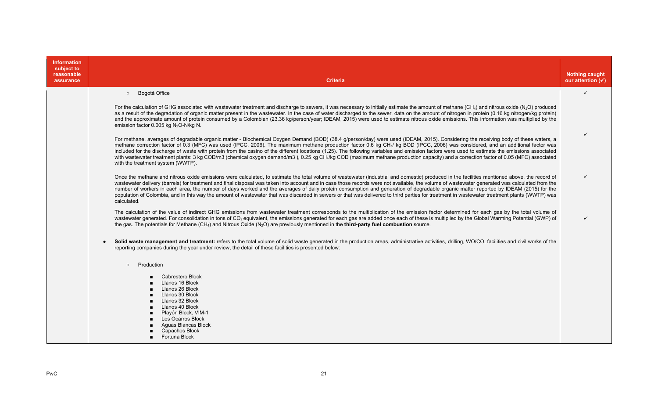| <b>Information</b><br>subject to<br>reasonable<br>assurance | <b>Criteria</b>                                                                                                                                                                                                                                                                                                                                                                                                                                                                                                                                                                                                                                                                                                                                                                                                                   | <b>Nothing caught</b><br>our attention $(\checkmark)$ |
|-------------------------------------------------------------|-----------------------------------------------------------------------------------------------------------------------------------------------------------------------------------------------------------------------------------------------------------------------------------------------------------------------------------------------------------------------------------------------------------------------------------------------------------------------------------------------------------------------------------------------------------------------------------------------------------------------------------------------------------------------------------------------------------------------------------------------------------------------------------------------------------------------------------|-------------------------------------------------------|
|                                                             | Bogotá Office<br>$\circ$                                                                                                                                                                                                                                                                                                                                                                                                                                                                                                                                                                                                                                                                                                                                                                                                          | $\checkmark$                                          |
|                                                             | For the calculation of GHG associated with wastewater treatment and discharge to sewers, it was necessary to initially estimate the amount of methane (CH <sub>4</sub> ) and nitrous oxide (N <sub>2</sub> O) produced<br>as a result of the degradation of organic matter present in the wastewater. In the case of water discharged to the sewer, data on the amount of nitrogen in protein (0.16 kg nitrogen/kg protein)<br>and the approximate amount of protein consumed by a Colombian (23.36 kg/person/year; IDEAM, 2015) were used to estimate nitrous oxide emissions. This information was multiplied by the<br>emission factor 0.005 kg N <sub>2</sub> O-N/kg N.                                                                                                                                                       |                                                       |
|                                                             | For methane, averages of degradable organic matter - Biochemical Oxygen Demand (BOD) (38.4 g/person/day) were used (IDEAM, 2015). Considering the receiving body of these waters, a<br>methane correction factor of 0.3 (MFC) was used (IPCC, 2006). The maximum methane production factor 0.6 kg CH <sub>4</sub> / kg BOD (IPCC, 2006) was considered, and an additional factor was<br>included for the discharge of waste with protein from the casino of the different locations (1.25). The following variables and emission factors were used to estimate the emissions associated<br>with wastewater treatment plants: 3 kg COD/m3 (chemical oxygen demand/m3), 0.25 kg CH <sub>4</sub> /kg COD (maximum methane production capacity) and a correction factor of 0.05 (MFC) associated<br>with the treatment system (WWTP). | ✓                                                     |
|                                                             | Once the methane and nitrous oxide emissions were calculated, to estimate the total volume of wastewater (industrial and domestic) produced in the facilities mentioned above, the record of<br>wastewater delivery (barrels) for treatment and final disposal was taken into account and in case those records were not available, the volume of wastewater generated was calculated from the<br>number of workers in each area, the number of days worked and the averages of daily protein consumption and generation of degradable organic matter reported by IDEAM (2015) for the<br>population of Colombia, and in this way the amount of wastewater that was discarded in sewers or that was delivered to third parties for treatment in wastewater treatment plants (WWTP) was<br>calculated.                             | ✓                                                     |
|                                                             | The calculation of the value of indirect GHG emissions from wastewater treatment corresponds to the multiplication of the emission factor determined for each gas by the total volume of<br>wastewater generated. For consolidation in tons of CO <sub>2</sub> equivalent, the emissions generated for each gas are added once each of these is multiplied by the Global Warming Potential (GWP) of<br>the gas. The potentials for Methane (CH <sub>4</sub> ) and Nitrous Oxide (N <sub>2</sub> O) are previously mentioned in the <b>third-party fuel combustion</b> source.                                                                                                                                                                                                                                                     | $\checkmark$                                          |
|                                                             | Solid waste management and treatment: refers to the total volume of solid waste generated in the production areas, administrative activities, drilling, WO/CO, facilities and civil works of the<br>reporting companies during the year under review, the detail of these facilities is presented below:                                                                                                                                                                                                                                                                                                                                                                                                                                                                                                                          |                                                       |
|                                                             | Production<br>$\circ$                                                                                                                                                                                                                                                                                                                                                                                                                                                                                                                                                                                                                                                                                                                                                                                                             |                                                       |
|                                                             | Cabrestero Block<br>Llanos 16 Block<br>Llanos 26 Block<br>Llanos 30 Block<br>Llanos 32 Block<br>Llanos 40 Block                                                                                                                                                                                                                                                                                                                                                                                                                                                                                                                                                                                                                                                                                                                   |                                                       |
|                                                             | Plavón Block, VIM-1<br>Los Ocarros Block<br>Aguas Blancas Block<br>Capachos Block<br>Fortuna Block                                                                                                                                                                                                                                                                                                                                                                                                                                                                                                                                                                                                                                                                                                                                |                                                       |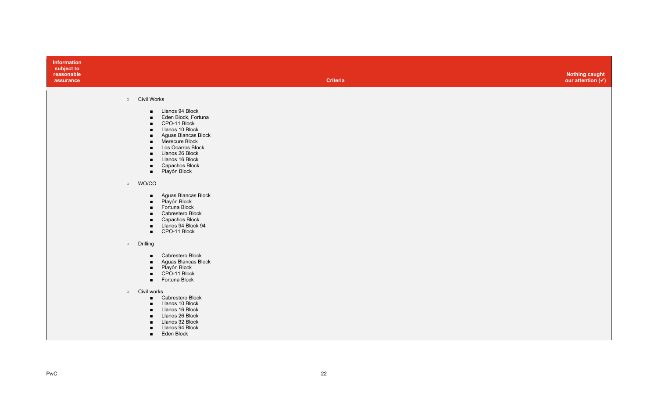| Information<br>subject to<br>reasonable<br>assurance | Criteria                                                                                                                                                                                                                                                                                                                                                                                                                                                                                                                                                                                                                                                                                                                                                                                                                                                                                                                | <b>Nothing caught</b><br>our attention $(v)$ |
|------------------------------------------------------|-------------------------------------------------------------------------------------------------------------------------------------------------------------------------------------------------------------------------------------------------------------------------------------------------------------------------------------------------------------------------------------------------------------------------------------------------------------------------------------------------------------------------------------------------------------------------------------------------------------------------------------------------------------------------------------------------------------------------------------------------------------------------------------------------------------------------------------------------------------------------------------------------------------------------|----------------------------------------------|
|                                                      | o Civil Works<br>Llanos 94 Block<br>$\blacksquare$<br>Eden Block, Fortuna<br>$\blacksquare$<br>CPO-11 Block<br>$\blacksquare$<br>Llanos 10 Block<br>$\blacksquare$<br>Aguas Blancas Block<br>$\blacksquare$<br>Merecure Block<br>$\blacksquare$<br>Los Ocarros Block<br>$\blacksquare$<br>Llanos 26 Block<br>$\blacksquare$<br>Llanos 16 Block<br>$\blacksquare$<br>Capachos Block<br>$\blacksquare$<br>Playón Block<br>$\blacksquare$<br>o WO/CO<br>Aguas Blancas Block<br>$\blacksquare$<br>Playón Block<br>$\blacksquare$<br>Fortuna Block<br>$\blacksquare$<br>Cabrestero Block<br>$\blacksquare$<br>Capachos Block<br>$\blacksquare$<br>Llanos 94 Block 94<br>$\blacksquare$<br>CPO-11 Block<br>$\blacksquare$<br>o Drilling<br>Cabrestero Block<br>$\blacksquare$<br>Aguas Blancas Block<br>$\blacksquare$<br>Playón Block<br>$\blacksquare$<br>CPO-11 Block<br>$\blacksquare$<br>Fortuna Block<br>$\blacksquare$ |                                              |
|                                                      | o Civil works<br>Cabrestero Block<br>$\blacksquare$<br>Llanos 10 Block<br>$\blacksquare$<br>Llanos 16 Block<br>$\blacksquare$<br>Llanos 26 Block<br>$\blacksquare$<br>Llanos 32 Block<br>$\blacksquare$<br>Llanos 94 Block<br>$\blacksquare$<br>Eden Block<br>$\blacksquare$                                                                                                                                                                                                                                                                                                                                                                                                                                                                                                                                                                                                                                            |                                              |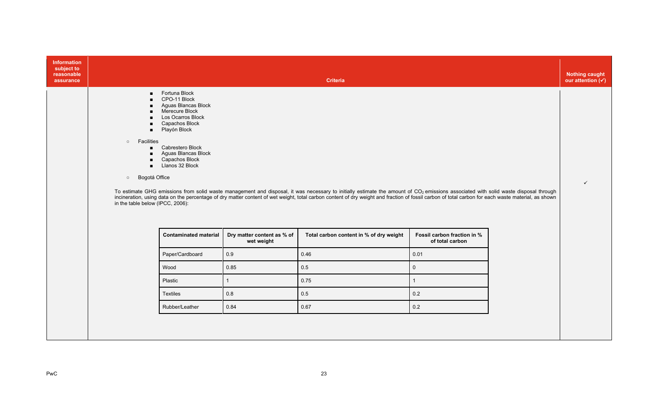| <b>Information</b><br>subject to<br>reasonable |                                                                                                                                                                                                                                                                                                                                                                                |                                          |                                                                                                                                                                                                                                                                                                                                                                                                       |                                                |  | <b>Nothing caught</b><br>our attention $(\checkmark)$ |  |  |
|------------------------------------------------|--------------------------------------------------------------------------------------------------------------------------------------------------------------------------------------------------------------------------------------------------------------------------------------------------------------------------------------------------------------------------------|------------------------------------------|-------------------------------------------------------------------------------------------------------------------------------------------------------------------------------------------------------------------------------------------------------------------------------------------------------------------------------------------------------------------------------------------------------|------------------------------------------------|--|-------------------------------------------------------|--|--|
| assurance                                      | <b>Criteria</b>                                                                                                                                                                                                                                                                                                                                                                |                                          |                                                                                                                                                                                                                                                                                                                                                                                                       |                                                |  |                                                       |  |  |
|                                                | Fortuna Block<br>$\blacksquare$<br>CPO-11 Block<br>Aguas Blancas Block<br>Merecure Block<br>Los Ocarros Block<br>Capachos Block<br>$\blacksquare$<br>Playón Block<br>$\blacksquare$<br>Facilities<br>$\circ$<br>Cabrestero Block<br>Aguas Blancas Block<br>Capachos Block<br>Llanos 32 Block<br>$\blacksquare$<br>Bogotá Office<br>$\circ$<br>in the table below (IPCC, 2006): |                                          | To estimate GHG emissions from solid waste management and disposal, it was necessary to initially estimate the amount of CO <sub>2</sub> emissions associated with solid waste disposal through<br>incineration, using data on the percentage of dry matter content of wet weight, total carbon content of dry weight and fraction of fossil carbon of total carbon for each waste material, as shown |                                                |  |                                                       |  |  |
|                                                | <b>Contaminated material</b>                                                                                                                                                                                                                                                                                                                                                   | Dry matter content as % of<br>wet weight | Total carbon content in % of dry weight                                                                                                                                                                                                                                                                                                                                                               | Fossil carbon fraction in %<br>of total carbon |  |                                                       |  |  |
|                                                | Paper/Cardboard                                                                                                                                                                                                                                                                                                                                                                | 0.9                                      | 0.46                                                                                                                                                                                                                                                                                                                                                                                                  | 0.01                                           |  |                                                       |  |  |
|                                                | Wood                                                                                                                                                                                                                                                                                                                                                                           | 0.85                                     | 0.5                                                                                                                                                                                                                                                                                                                                                                                                   | $\mathsf{O}\xspace$                            |  |                                                       |  |  |
|                                                | Plastic                                                                                                                                                                                                                                                                                                                                                                        | $\overline{1}$                           | 0.75                                                                                                                                                                                                                                                                                                                                                                                                  |                                                |  |                                                       |  |  |
|                                                | Textiles                                                                                                                                                                                                                                                                                                                                                                       | 0.8                                      | 0.5                                                                                                                                                                                                                                                                                                                                                                                                   | 0.2                                            |  |                                                       |  |  |
|                                                | Rubber/Leather                                                                                                                                                                                                                                                                                                                                                                 | 0.84                                     | 0.67                                                                                                                                                                                                                                                                                                                                                                                                  | 0.2                                            |  |                                                       |  |  |
|                                                |                                                                                                                                                                                                                                                                                                                                                                                |                                          |                                                                                                                                                                                                                                                                                                                                                                                                       |                                                |  |                                                       |  |  |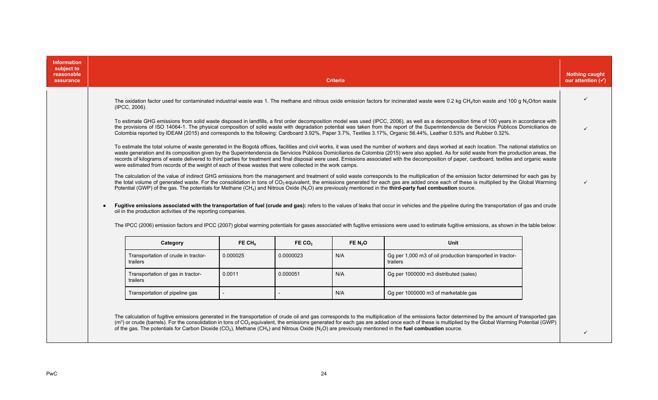| <b>Information</b><br>subject to<br>reasonable<br>assurance | <b>Criteria</b>                                                                                                                                                                                                                                                                                                                                                                                                                                                                                                                                                                                         |          |                    |          |                                                                                                                                                                                                                                                                                                                                                                                                                              |  |  |  |  |
|-------------------------------------------------------------|---------------------------------------------------------------------------------------------------------------------------------------------------------------------------------------------------------------------------------------------------------------------------------------------------------------------------------------------------------------------------------------------------------------------------------------------------------------------------------------------------------------------------------------------------------------------------------------------------------|----------|--------------------|----------|------------------------------------------------------------------------------------------------------------------------------------------------------------------------------------------------------------------------------------------------------------------------------------------------------------------------------------------------------------------------------------------------------------------------------|--|--|--|--|
|                                                             | The oxidation factor used for contaminated industrial waste was 1. The methane and nitrous oxide emission factors for incinerated waste were 0.2 kg CH <sub>4</sub> /ton waste and 100 g N <sub>2</sub> O/ton waste<br>(IPCC, 2006).                                                                                                                                                                                                                                                                                                                                                                    |          |                    |          |                                                                                                                                                                                                                                                                                                                                                                                                                              |  |  |  |  |
|                                                             | To estimate GHG emissions from solid waste disposed in landfills, a first order decomposition model was used (IPCC, 2006), as well as a decomposition time of 100 years in accordance with<br>the provisions of ISO 14064-1. The physical composition of solid waste with degradation potential was taken from the report of the Superintendencia de Servicios Públicos Domiciliarios de<br>Colombia reported by IDEAM (2015) and corresponds to the following: Cardboard 3.92%, Paper 3.7%, Textiles 3.17%, Organic 56.44%, Leather 0.53% and Rubber 0.32%.                                            |          |                    |          |                                                                                                                                                                                                                                                                                                                                                                                                                              |  |  |  |  |
|                                                             | To estimate the total volume of waste generated in the Bogotá offices, facilities and civil works, it was used the number of workers and days worked at each location. The national statistics on<br>waste generation and its composition given by the Superintendencia de Servicios Públicos Domiciliarios de Colombia (2015) were also applied. As for solid waste from the production areas, the<br>records of kilograms of waste delivered to third parties for treatment and final disposal were used. Emissions associated with the decomposition of paper, cardboard, textiles and organic waste |          |                    |          |                                                                                                                                                                                                                                                                                                                                                                                                                              |  |  |  |  |
|                                                             | were estimated from records of the weight of each of these wastes that were collected in the work camps.<br>Potential (GWP) of the gas. The potentials for Methane (CH <sub>4</sub> ) and Nitrous Oxide (N <sub>2</sub> O) are previously mentioned in the third-party fuel combustion source.                                                                                                                                                                                                                                                                                                          |          |                    |          | The calculation of the value of indirect GHG emissions from the management and treatment of solid waste corresponds to the multiplication of the emission factor determined for each gas by<br>the total volume of generated waste. For the consolidation in tons of CO <sub>2</sub> equivalent, the emissions generated for each gas are added once each of these is multiplied by the Global Warming                       |  |  |  |  |
|                                                             | $\bullet$<br>oil in the production activities of the reporting companies.                                                                                                                                                                                                                                                                                                                                                                                                                                                                                                                               |          |                    |          | Fugitive emissions associated with the transportation of fuel (crude and gas): refers to the values of leaks that occur in vehicles and the pipeline during the transportation of gas and crude<br>The IPCC (2006) emission factors and IPCC (2007) global warming potentials for gases associated with fugitive emissions were used to estimate fugitive emissions, as shown in the table below:                            |  |  |  |  |
|                                                             | Category                                                                                                                                                                                                                                                                                                                                                                                                                                                                                                                                                                                                | FE $CH4$ | FE CO <sub>2</sub> | FE $N2O$ | Unit                                                                                                                                                                                                                                                                                                                                                                                                                         |  |  |  |  |
|                                                             | Transportation of crude in tractor-<br>trailers                                                                                                                                                                                                                                                                                                                                                                                                                                                                                                                                                         | 0.000025 | 0.0000023          | N/A      | Gg per 1,000 m3 of oil production transported in tractor-<br>trailers                                                                                                                                                                                                                                                                                                                                                        |  |  |  |  |
|                                                             | 0.000051<br>N/A<br>0.0011<br>Gg per 1000000 m3 distributed (sales)<br>Transportation of gas in tractor-<br>trailers                                                                                                                                                                                                                                                                                                                                                                                                                                                                                     |          |                    |          |                                                                                                                                                                                                                                                                                                                                                                                                                              |  |  |  |  |
|                                                             | Transportation of pipeline gas<br>N/A<br>Gg per 1000000 m3 of marketable gas                                                                                                                                                                                                                                                                                                                                                                                                                                                                                                                            |          |                    |          |                                                                                                                                                                                                                                                                                                                                                                                                                              |  |  |  |  |
|                                                             | of the gas. The potentials for Carbon Dioxide (CO <sub>2</sub> ), Methane (CH <sub>4</sub> ) and Nitrous Oxide (N <sub>2</sub> O) are previously mentioned in the fuel combustion source.                                                                                                                                                                                                                                                                                                                                                                                                               |          |                    |          | The calculation of fugitive emissions generated in the transportation of crude oil and gas corresponds to the multiplication of the emissions factor determined by the amount of transported gas<br>(m <sup>3</sup> ) or crude (barrels). For the consolidation in tons of CO <sub>2</sub> equivalent, the emissions generated for each gas are added once each of these is multiplied by the Global Warming Potential (GWP) |  |  |  |  |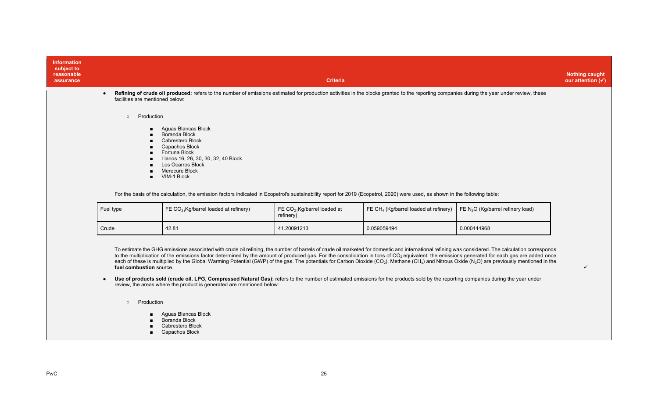| <b>Information</b><br>subject to<br>reasonable<br>assurance |                                                                                                                                                                                                                                                                                                                                                                                                                                                                                                                                                                                                                                                                                                                                                                                                                                                                                                                                                                        | <b>Criteria</b>                                                                                                                                                                                                                                                                                                                                                          |                                           |                                                   |                                     |  |  |  |
|-------------------------------------------------------------|------------------------------------------------------------------------------------------------------------------------------------------------------------------------------------------------------------------------------------------------------------------------------------------------------------------------------------------------------------------------------------------------------------------------------------------------------------------------------------------------------------------------------------------------------------------------------------------------------------------------------------------------------------------------------------------------------------------------------------------------------------------------------------------------------------------------------------------------------------------------------------------------------------------------------------------------------------------------|--------------------------------------------------------------------------------------------------------------------------------------------------------------------------------------------------------------------------------------------------------------------------------------------------------------------------------------------------------------------------|-------------------------------------------|---------------------------------------------------|-------------------------------------|--|--|--|
|                                                             | Refining of crude oil produced: refers to the number of emissions estimated for production activities in the blocks granted to the reporting companies during the year under review, these<br>facilities are mentioned below:                                                                                                                                                                                                                                                                                                                                                                                                                                                                                                                                                                                                                                                                                                                                          |                                                                                                                                                                                                                                                                                                                                                                          |                                           |                                                   |                                     |  |  |  |
|                                                             | Production<br>$\circ$                                                                                                                                                                                                                                                                                                                                                                                                                                                                                                                                                                                                                                                                                                                                                                                                                                                                                                                                                  | Aguas Blancas Block<br>Boranda Block<br>Cabrestero Block<br>Capachos Block<br>Fortuna Block<br>Llanos 16, 26, 30, 30, 32, 40 Block<br>Los Ocarros Block<br>Merecure Block<br>VIM-1 Block<br>For the basis of the calculation, the emission factors indicated in Ecopetrol's sustainability report for 2019 (Ecopetrol, 2020) were used, as shown in the following table: |                                           |                                                   |                                     |  |  |  |
|                                                             | Fuel type                                                                                                                                                                                                                                                                                                                                                                                                                                                                                                                                                                                                                                                                                                                                                                                                                                                                                                                                                              | FE CO <sub>2 (</sub> Kg/barrel loaded at refinery)                                                                                                                                                                                                                                                                                                                       | FE $CO2$ Kg/barrel loaded at<br>refinery) | FE CH <sub>4</sub> (Kg/barrel loaded at refinery) | FE $N_2O$ (Kg/barrel refinery load) |  |  |  |
|                                                             | Crude                                                                                                                                                                                                                                                                                                                                                                                                                                                                                                                                                                                                                                                                                                                                                                                                                                                                                                                                                                  | 42.81                                                                                                                                                                                                                                                                                                                                                                    | 41.20091213                               | 0.059059494                                       | 0.000444968                         |  |  |  |
|                                                             | To estimate the GHG emissions associated with crude oil refining, the number of barrels of crude oil marketed for domestic and international refining was considered. The calculation corresponds<br>to the multiplication of the emissions factor determined by the amount of produced gas. For the consolidation in tons of CO <sub>2</sub> equivalent, the emissions generated for each gas are added once<br>each of these is multiplied by the Global Warming Potential (GWP) of the gas. The potentials for Carbon Dioxide (CO <sub>2</sub> ), Methane (CH <sub>4</sub> ) and Nitrous Oxide (N <sub>2</sub> O) are previously mentioned in the<br>fuel combustion source.<br>Use of products sold (crude oil, LPG, Compressed Natural Gas): refers to the number of estimated emissions for the products sold by the reporting companies during the year under<br>review, the areas where the product is generated are mentioned below:<br>Production<br>$\circ$ |                                                                                                                                                                                                                                                                                                                                                                          |                                           |                                                   |                                     |  |  |  |
|                                                             |                                                                                                                                                                                                                                                                                                                                                                                                                                                                                                                                                                                                                                                                                                                                                                                                                                                                                                                                                                        | Aguas Blancas Block<br>Boranda Block<br>Cabrestero Block<br>Capachos Block                                                                                                                                                                                                                                                                                               |                                           |                                                   |                                     |  |  |  |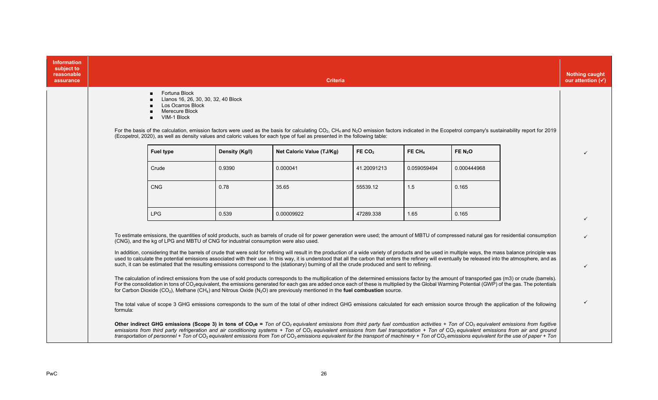| <b>Information</b><br>subject to<br>reasonable<br>assurance |                                                                                                                                                                                                                                                                                                                                                                                                                                                                                                                                                                                                                                                       |                                     | <b>Criteria</b>           |             |             |             |  | <b>Nothing caught</b><br>our attention $(\checkmark)$ |
|-------------------------------------------------------------|-------------------------------------------------------------------------------------------------------------------------------------------------------------------------------------------------------------------------------------------------------------------------------------------------------------------------------------------------------------------------------------------------------------------------------------------------------------------------------------------------------------------------------------------------------------------------------------------------------------------------------------------------------|-------------------------------------|---------------------------|-------------|-------------|-------------|--|-------------------------------------------------------|
|                                                             | Fortuna Block<br><b>Los Ocarros Block</b><br>Merecure Block<br>VIM-1 Block<br>$\blacksquare$                                                                                                                                                                                                                                                                                                                                                                                                                                                                                                                                                          | Llanos 16, 26, 30, 30, 32, 40 Block |                           |             |             |             |  |                                                       |
|                                                             | For the basis of the calculation, emission factors were used as the basis for calculating CO <sub>2</sub> , CH <sub>4</sub> and N <sub>2</sub> O emission factors indicated in the Ecopetrol company's sustainability report for 2019<br>(Ecopetrol, 2020), as well as density values and caloric values for each type of fuel as presented in the following table:                                                                                                                                                                                                                                                                                   |                                     |                           |             |             |             |  |                                                       |
|                                                             | <b>Fuel type</b>                                                                                                                                                                                                                                                                                                                                                                                                                                                                                                                                                                                                                                      | Density (Kg/I)                      | Net Caloric Value (TJ/Kg) | FE $CO2$    | FE $CH4$    | FE $N_2$ O  |  |                                                       |
|                                                             | Crude                                                                                                                                                                                                                                                                                                                                                                                                                                                                                                                                                                                                                                                 | 0.9390                              | 0.000041                  | 41.20091213 | 0.059059494 | 0.000444968 |  |                                                       |
|                                                             | <b>CNG</b>                                                                                                                                                                                                                                                                                                                                                                                                                                                                                                                                                                                                                                            | 0.78                                | 35.65                     | 55539.12    | 1.5         | 0.165       |  |                                                       |
|                                                             | <b>LPG</b>                                                                                                                                                                                                                                                                                                                                                                                                                                                                                                                                                                                                                                            | 0.539                               | 0.00009922                | 47289.338   | 1.65        | 0.165       |  |                                                       |
|                                                             | To estimate emissions, the quantities of sold products, such as barrels of crude oil for power generation were used; the amount of MBTU of compressed natural gas for residential consumption<br>(CNG), and the kg of LPG and MBTU of CNG for industrial consumption were also used.                                                                                                                                                                                                                                                                                                                                                                  |                                     |                           |             |             |             |  |                                                       |
|                                                             | In addition, considering that the barrels of crude that were sold for refining will result in the production of a wide variety of products and be used in multiple ways, the mass balance principle was<br>used to calculate the potential emissions associated with their use. In this way, it is understood that all the carbon that enters the refinery will eventually be released into the atmosphere, and as<br>such, it can be estimated that the resulting emissions correspond to the (stationary) burning of all the crude produced and sent to refining.                                                                                   |                                     |                           |             |             |             |  | $\checkmark$                                          |
|                                                             | The calculation of indirect emissions from the use of sold products corresponds to the multiplication of the determined emissions factor by the amount of transported gas (m3) or crude (barrels).<br>For the consolidation in tons of CO <sub>2</sub> equivalent, the emissions generated for each gas are added once each of these is multiplied by the Global Warming Potential (GWP) of the gas. The potentials<br>for Carbon Dioxide (CO <sub>2</sub> ), Methane (CH <sub>4</sub> ) and Nitrous Oxide (N <sub>2</sub> O) are previously mentioned in the <b>fuel combustion</b> source.                                                          |                                     |                           |             |             |             |  |                                                       |
|                                                             | The total value of scope 3 GHG emissions corresponds to the sum of the total of other indirect GHG emissions calculated for each emission source through the application of the following<br>formula:                                                                                                                                                                                                                                                                                                                                                                                                                                                 |                                     |                           |             |             |             |  |                                                       |
|                                                             | Other indirect GHG emissions (Scope 3) in tons of $CO_2e =$ Ton of $CO_2$ equivalent emissions from third party fuel combustion activities + Ton of $CO_2$ equivalent emissions from fugitive<br>emissions from third party refrigeration and air conditioning systems + Ton of CO <sub>2</sub> equivalent emissions from fuel transportation + Ton of CO <sub>2</sub> equivalent emissions from air and ground<br>transportation of personnel + Ton of CO <sub>2</sub> equivalent emissions from Ton of CO <sub>2</sub> emissions equivalent for the transport of machinery + Ton of CO <sub>2</sub> emissions equivalent for the use of paper + Ton |                                     |                           |             |             |             |  |                                                       |